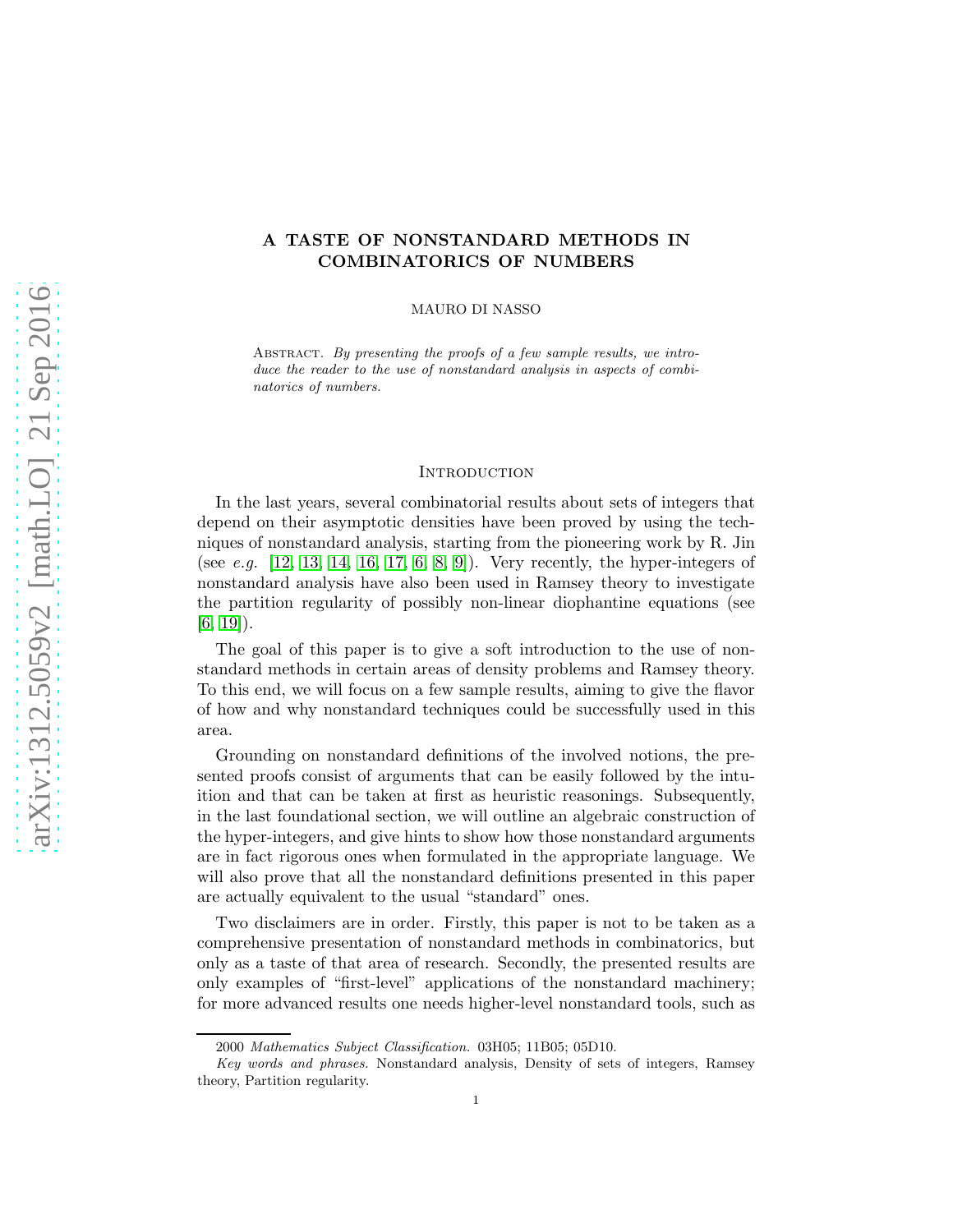# A TASTE OF NONSTANDARD METHODS IN COMBINATORICS OF NUMBERS

MAURO DI NASSO

ABSTRACT. By presenting the proofs of a few sample results, we intro*duce the reader to the use of nonstandard analysis in aspects of combinatorics of numbers.*

# **INTRODUCTION**

In the last years, several combinatorial results about sets of integers that depend on their asymptotic densities have been proved by using the techniques of nonstandard analysis, starting from the pioneering work by R. Jin (see *e.g.* [\[12,](#page-16-0) [13,](#page-16-1) [14,](#page-16-2) [16,](#page-16-3) [17,](#page-16-4) [6,](#page-16-5) [8,](#page-16-6) [9\]](#page-16-7)). Very recently, the hyper-integers of nonstandard analysis have also been used in Ramsey theory to investigate the partition regularity of possibly non-linear diophantine equations (see  $[6, 19]$  $[6, 19]$ .

The goal of this paper is to give a soft introduction to the use of nonstandard methods in certain areas of density problems and Ramsey theory. To this end, we will focus on a few sample results, aiming to give the flavor of how and why nonstandard techniques could be successfully used in this area.

Grounding on nonstandard definitions of the involved notions, the presented proofs consist of arguments that can be easily followed by the intuition and that can be taken at first as heuristic reasonings. Subsequently, in the last foundational section, we will outline an algebraic construction of the hyper-integers, and give hints to show how those nonstandard arguments are in fact rigorous ones when formulated in the appropriate language. We will also prove that all the nonstandard definitions presented in this paper are actually equivalent to the usual "standard" ones.

Two disclaimers are in order. Firstly, this paper is not to be taken as a comprehensive presentation of nonstandard methods in combinatorics, but only as a taste of that area of research. Secondly, the presented results are only examples of "first-level" applications of the nonstandard machinery; for more advanced results one needs higher-level nonstandard tools, such as

<sup>2000</sup> *Mathematics Subject Classification.* 03H05; 11B05; 05D10.

*Key words and phrases.* Nonstandard analysis, Density of sets of integers, Ramsey theory, Partition regularity.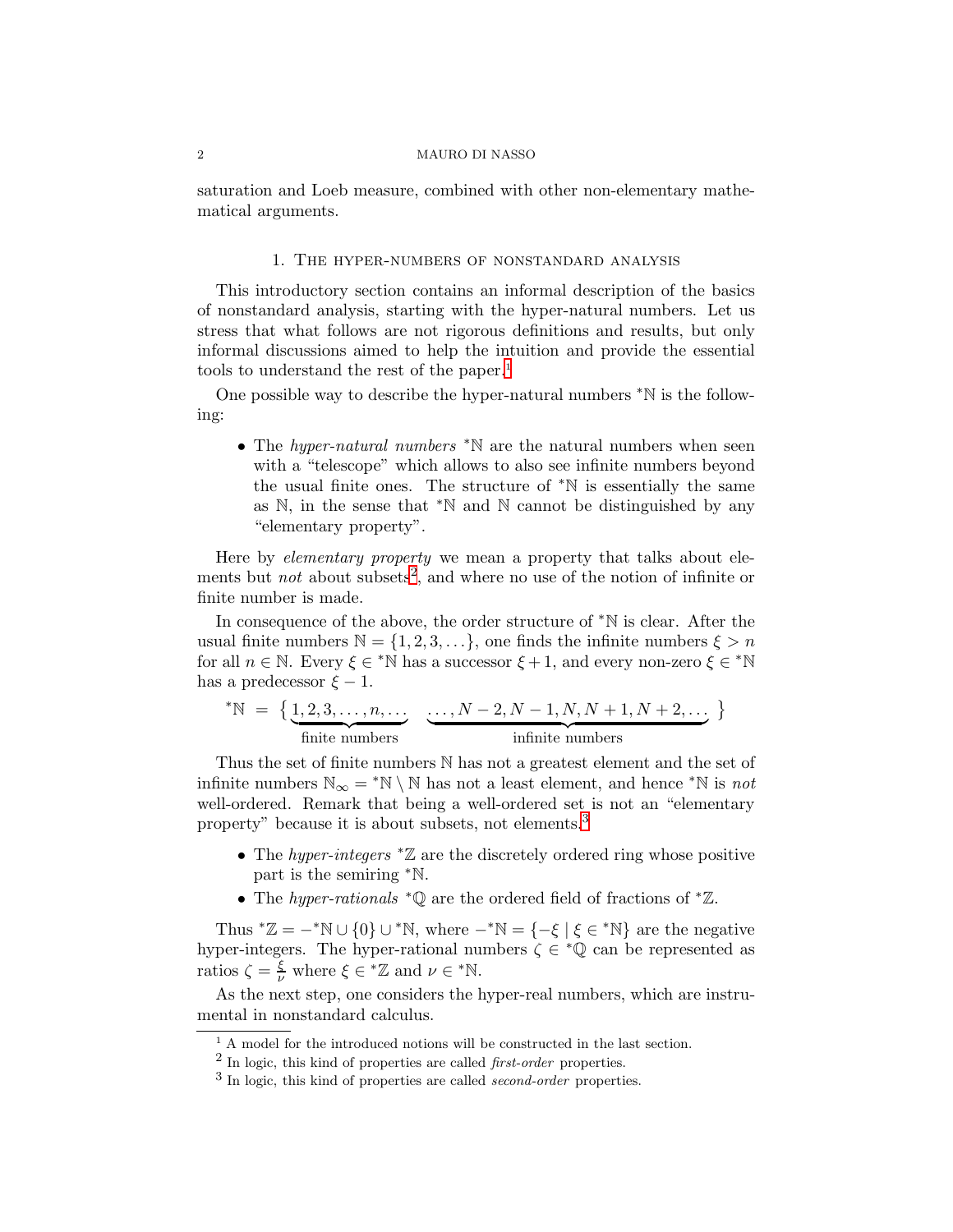saturation and Loeb measure, combined with other non-elementary mathematical arguments.

# 1. The hyper-numbers of nonstandard analysis

This introductory section contains an informal description of the basics of nonstandard analysis, starting with the hyper-natural numbers. Let us stress that what follows are not rigorous definitions and results, but only informal discussions aimed to help the intuition and provide the essential tools to understand the rest of the paper.<sup>[1](#page-1-0)</sup>

One possible way to describe the hyper-natural numbers <sup>∗</sup>N is the following:

• The *hyper-natural numbers* <sup>∗</sup>N are the natural numbers when seen with a "telescope" which allows to also see infinite numbers beyond the usual finite ones. The structure of <sup>∗</sup>N is essentially the same as N, in the sense that <sup>∗</sup>N and N cannot be distinguished by any "elementary property".

Here by *elementary property* we mean a property that talks about elements but *not* about subsets<sup>[2](#page-1-1)</sup>, and where no use of the notion of infinite or finite number is made.

In consequence of the above, the order structure of <sup>∗</sup>N is clear. After the usual finite numbers  $\mathbb{N} = \{1, 2, 3, \ldots\}$ , one finds the infinite numbers  $\xi > n$ for all  $n \in \mathbb{N}$ . Every  $\xi \in \mathbb{N}$  has a successor  $\xi + 1$ , and every non-zero  $\xi \in \mathbb{N}$ has a predecessor  $\xi - 1$ .

$$
^{\ast}\mathbb{N} = \left\{ \underbrace{1, 2, 3, \dots, n, \dots}_{\text{finite numbers}} \quad \underbrace{\dots, N-2, N-1, N, N+1, N+2, \dots}_{\text{infinite numbers}} \right\}
$$

Thus the set of finite numbers N has not a greatest element and the set of infinite numbers  $\mathbb{N}_{\infty}$  =  $*\mathbb{N} \setminus \mathbb{N}$  has not a least element, and hence  $*\mathbb{N}$  is *not* well-ordered. Remark that being a well-ordered set is not an "elementary property" because it is about subsets, not elements.[3](#page-1-2)

- The *hyper-integers* <sup>∗</sup>Z are the discretely ordered ring whose positive part is the semiring <sup>∗</sup>N.
- The *hyper-rationals* <sup>∗</sup>Q are the ordered field of fractions of <sup>∗</sup>Z.

Thus  $^*\mathbb{Z} = -^*\mathbb{N} \cup \{0\} \cup^*\mathbb{N}$ , where  $-^*\mathbb{N} = \{-\xi \mid \xi \in^*\mathbb{N}\}$  are the negative hyper-integers. The hyper-rational numbers  $\zeta \in \mathcal{L}$  can be represented as ratios  $\zeta = \frac{\xi}{\nu}$  where  $\xi \in {}^*\mathbb{Z}$  and  $\nu \in {}^*\mathbb{N}$ .

As the next step, one considers the hyper-real numbers, which are instrumental in nonstandard calculus.

 $^{\rm 1}$  A model for the introduced notions will be constructed in the last section.

<span id="page-1-0"></span><sup>2</sup> In logic, this kind of properties are called *first-order* properties.

<span id="page-1-2"></span><span id="page-1-1"></span><sup>3</sup> In logic, this kind of properties are called *second-order* properties.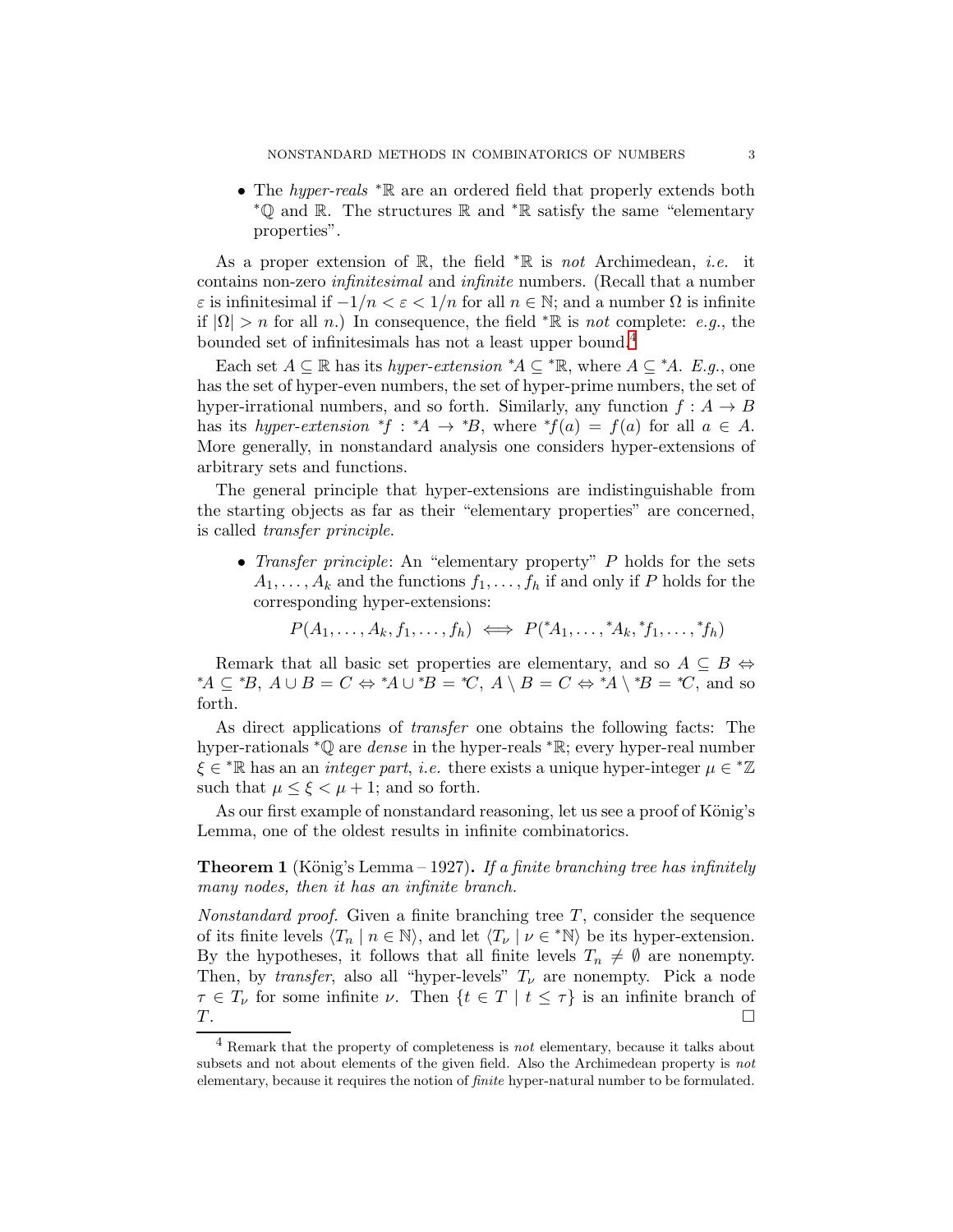• The *hyper-reals* <sup>∗</sup>R are an ordered field that properly extends both <sup>∗</sup>Q and R. The structures R and <sup>∗</sup>R satisfy the same "elementary properties".

As a proper extension of R, the field <sup>∗</sup>R is *not* Archimedean, *i.e.* it contains non-zero *infinitesimal* and *infinite* numbers. (Recall that a number  $ε$  is infinitesimal if  $-1/n < ε < 1/n$  for all  $n ∈ ℕ$ ; and a number Ω is infinite if  $|\Omega| > n$  for all *n*.) In consequence, the field <sup>\*</sup>R is *not* complete: *e.g.*, the bounded set of infinitesimals has not a least upper bound.[4](#page-2-0)

Each set  $A \subseteq \mathbb{R}$  has its *hyper-extension*  $^*A \subseteq {}^* \mathbb{R}$ , where  $A \subseteq {}^* A$ . *E.g.*, one has the set of hyper-even numbers, the set of hyper-prime numbers, the set of hyper-irrational numbers, and so forth. Similarly, any function  $f : A \rightarrow B$ has its *hyper-extension*  $*f$ : \* $A \rightarrow *B$ , where \* $f(a) = f(a)$  for all  $a \in A$ . More generally, in nonstandard analysis one considers hyper-extensions of arbitrary sets and functions.

The general principle that hyper-extensions are indistinguishable from the starting objects as far as their "elementary properties" are concerned, is called *transfer principle*.

• *Transfer principle*: An "elementary property" P holds for the sets  $A_1, \ldots, A_k$  and the functions  $f_1, \ldots, f_h$  if and only if P holds for the corresponding hyper-extensions:

$$
P(A_1,\ldots,A_k,f_1,\ldots,f_h) \iff P({}^{\ast}A_1,\ldots,{}^{\ast}A_k,{}^{\ast}f_1,\ldots,{}^{\ast}f_h)
$$

Remark that all basic set properties are elementary, and so  $A \subseteq B \Leftrightarrow$ \* $A \subseteq {}^*B$ ,  $A \cup B = C \Leftrightarrow {}^*A \cup {}^*B = {}^*C$ ,  $A \setminus B = C \Leftrightarrow {}^*A \setminus {}^*B = {}^*C$ , and so forth.

As direct applications of *transfer* one obtains the following facts: The hyper-rationals <sup>∗</sup>Q are *dense* in the hyper-reals <sup>∗</sup>R; every hyper-real number  $\xi \in {}^*{\mathbb{R}}$  has an an *integer part*, *i.e.* there exists a unique hyper-integer  $\mu \in {}^*{\mathbb{Z}}$ such that  $\mu \leq \xi < \mu + 1$ ; and so forth.

As our first example of nonstandard reasoning, let us see a proof of König's Lemma, one of the oldest results in infinite combinatorics.

**Theorem 1** (König's Lemma – 1927). *If a finite branching tree has infinitely many nodes, then it has an infinite branch.*

*Nonstandard proof.* Given a finite branching tree T, consider the sequence of its finite levels  $\langle T_n | n \in \mathbb{N} \rangle$ , and let  $\langle T_\nu | \nu \in \mathbb{N} \rangle$  be its hyper-extension. By the hypotheses, it follows that all finite levels  $T_n \neq \emptyset$  are nonempty. Then, by *transfer*, also all "hyper-levels"  $T_{\nu}$  are nonempty. Pick a node  $\tau \in T_{\nu}$  for some infinite  $\nu$ . Then  $\{t \in T \mid t \leq \tau\}$  is an infinite branch of  $T.$ 

<span id="page-2-0"></span><sup>4</sup> Remark that the property of completeness is *not* elementary, because it talks about subsets and not about elements of the given field. Also the Archimedean property is *not* elementary, because it requires the notion of *finite* hyper-natural number to be formulated.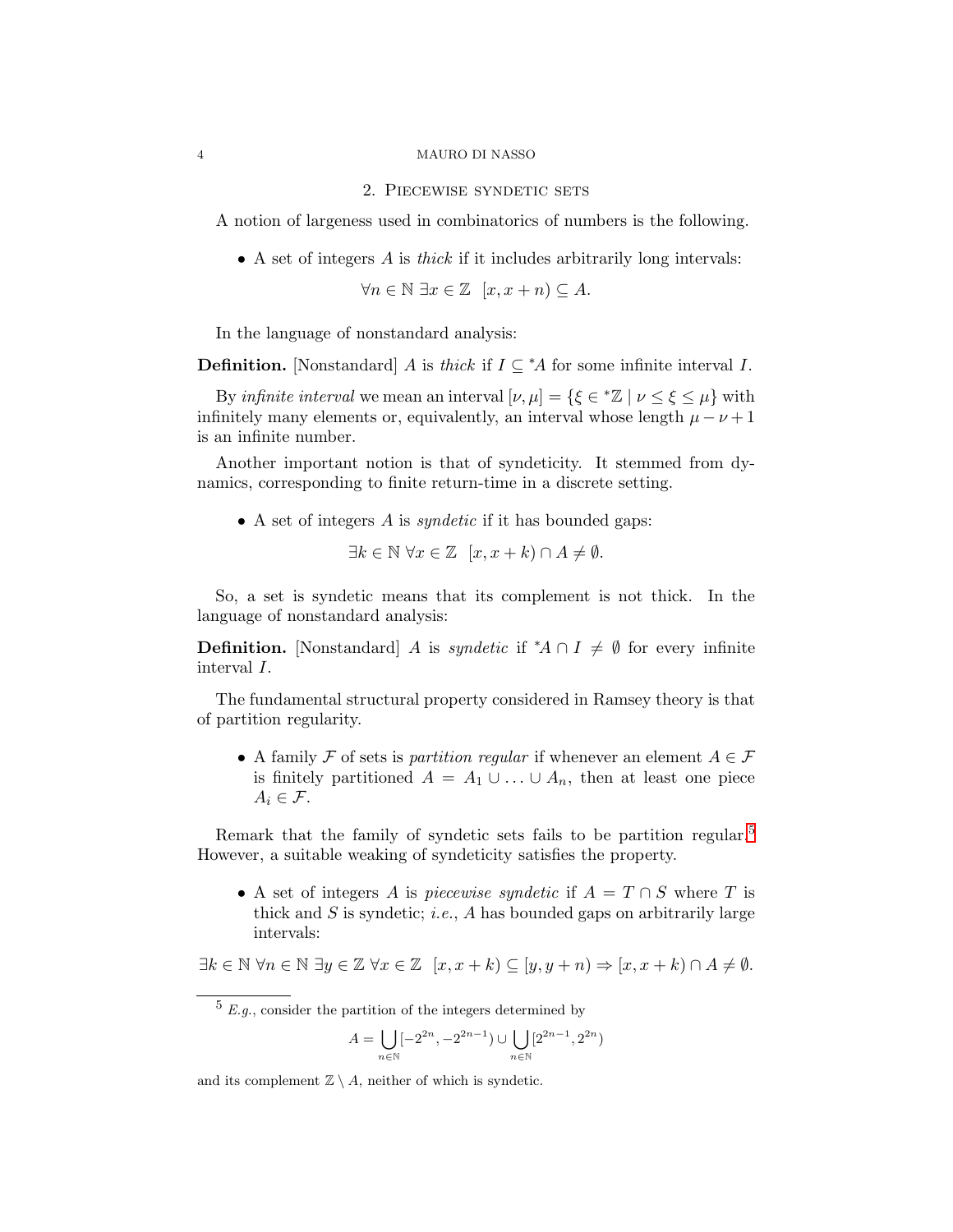# 2. Piecewise syndetic sets

A notion of largeness used in combinatorics of numbers is the following.

• A set of integers A is *thick* if it includes arbitrarily long intervals:

 $\forall n \in \mathbb{N} \; \exists x \in \mathbb{Z} \; [x, x + n) \subseteq A.$ 

In the language of nonstandard analysis:

**Definition.** [Nonstandard] A is *thick* if  $I \subseteq {}^*A$  for some infinite interval I.

By *infinite interval* we mean an interval  $[\nu, \mu] = {\xi \in {}^* \mathbb{Z} \mid \nu \leq \xi \leq \mu}$  with infinitely many elements or, equivalently, an interval whose length  $\mu - \nu + 1$ is an infinite number.

Another important notion is that of syndeticity. It stemmed from dynamics, corresponding to finite return-time in a discrete setting.

• A set of integers A is *syndetic* if it has bounded gaps:

$$
\exists k \in \mathbb{N} \,\,\forall x \in \mathbb{Z} \,\,\left[x, x + k\right) \cap A \neq \emptyset.
$$

So, a set is syndetic means that its complement is not thick. In the language of nonstandard analysis:

**Definition.** [Nonstandard] A is *syndetic* if  $^*A \cap I \neq \emptyset$  for every infinite interval I.

The fundamental structural property considered in Ramsey theory is that of partition regularity.

• A family F of sets is *partition regular* if whenever an element  $A \in \mathcal{F}$ is finitely partitioned  $A = A_1 \cup ... \cup A_n$ , then at least one piece  $A_i \in \mathcal{F}$ .

Remark that the family of syndetic sets fails to be partition regular.<sup>[5](#page-3-0)</sup> However, a suitable weaking of syndeticity satisfies the property.

• A set of integers A is *piecewise syndetic* if  $A = T \cap S$  where T is thick and S is syndetic; *i.e.*, A has bounded gaps on arbitrarily large intervals:

 $\exists k \in \mathbb{N} \ \forall n \in \mathbb{N} \ \exists y \in \mathbb{Z} \ \forall x \in \mathbb{Z} \ \ [x, x + k) \subseteq [y, y + n) \Rightarrow [x, x + k) \cap A \neq \emptyset.$ 

<span id="page-3-0"></span><sup>5</sup> *E.g.*, consider the partition of the integers determined by

$$
A = \bigcup_{n \in \mathbb{N}} [-2^{2n}, -2^{2n-1}) \cup \bigcup_{n \in \mathbb{N}} [2^{2n-1}, 2^{2n})
$$

and its complement  $\mathbb{Z} \setminus A$ , neither of which is syndetic.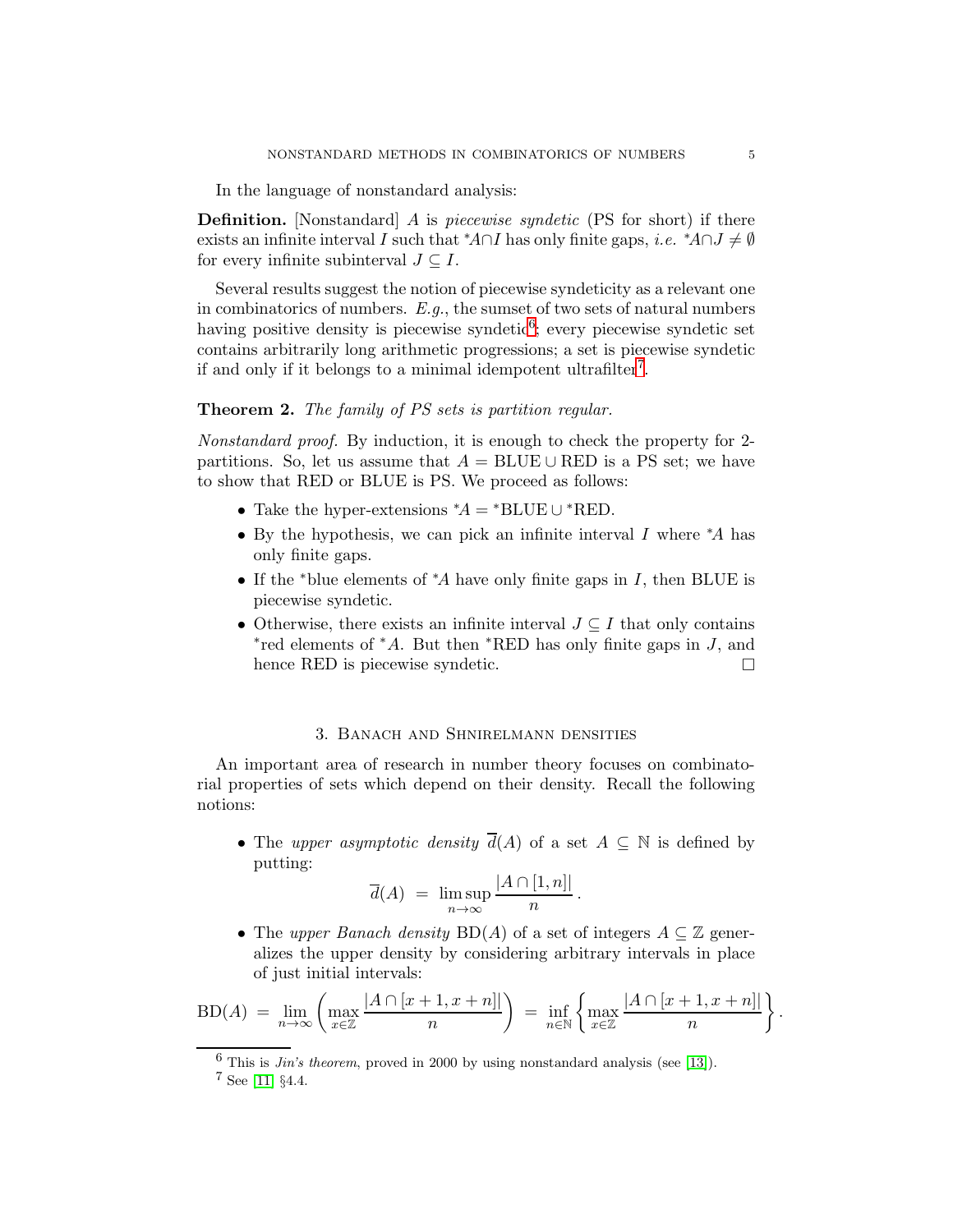In the language of nonstandard analysis:

Definition. [Nonstandard] A is *piecewise syndetic* (PS for short) if there exists an infinite interval I such that \*A∩I has only finite gaps, *i.e.* \*A∩J  $\neq \emptyset$ for every infinite subinterval  $J \subseteq I$ .

Several results suggest the notion of piecewise syndeticity as a relevant one in combinatorics of numbers. *E.g.*, the sumset of two sets of natural numbers having positive density is piecewise syndetic<sup>[6](#page-4-0)</sup>; every piecewise syndetic set contains arbitrarily long arithmetic progressions; a set is piecewise syndetic if and only if it belongs to a minimal idempotent ultrafilter<sup>[7](#page-4-1)</sup>.

# Theorem 2. *The family of PS sets is partition regular.*

*Nonstandard proof.* By induction, it is enough to check the property for 2 partitions. So, let us assume that  $A = \text{BLUE} \cup \text{RED}$  is a PS set; we have to show that RED or BLUE is PS. We proceed as follows:

- Take the hyper-extensions  $^*A = ^*BLUE \cup ^*RED$ .
- By the hypothesis, we can pick an infinite interval I where  $*A$  has only finite gaps.
- If the <sup>∗</sup>blue elements of <sup>∗</sup>A have only finite gaps in I, then BLUE is piecewise syndetic.
- Otherwise, there exists an infinite interval  $J \subseteq I$  that only contains ∗ red elements of <sup>∗</sup>A. But then <sup>∗</sup>RED has only finite gaps in J, and hence RED is piecewise syndetic.

# 3. Banach and Shnirelmann densities

An important area of research in number theory focuses on combinatorial properties of sets which depend on their density. Recall the following notions:

• The *upper asymptotic density*  $\overline{d}(A)$  of a set  $A \subseteq \mathbb{N}$  is defined by putting:

$$
\overline{d}(A) = \limsup_{n \to \infty} \frac{|A \cap [1, n]|}{n}.
$$

• The *upper Banach density*  $BD(A)$  of a set of integers  $A \subseteq \mathbb{Z}$  generalizes the upper density by considering arbitrary intervals in place of just initial intervals:

$$
BD(A) = \lim_{n \to \infty} \left( \max_{x \in \mathbb{Z}} \frac{|A \cap [x+1, x+n]|}{n} \right) = \inf_{n \in \mathbb{N}} \left\{ \max_{x \in \mathbb{Z}} \frac{|A \cap [x+1, x+n]|}{n} \right\}.
$$

<sup>6</sup> This is *Jin's theorem*, proved in 2000 by using nonstandard analysis (see [\[13\]](#page-16-1)).

<span id="page-4-1"></span><span id="page-4-0"></span> $7$  See [\[11\]](#page-16-9)  $§4.4$ .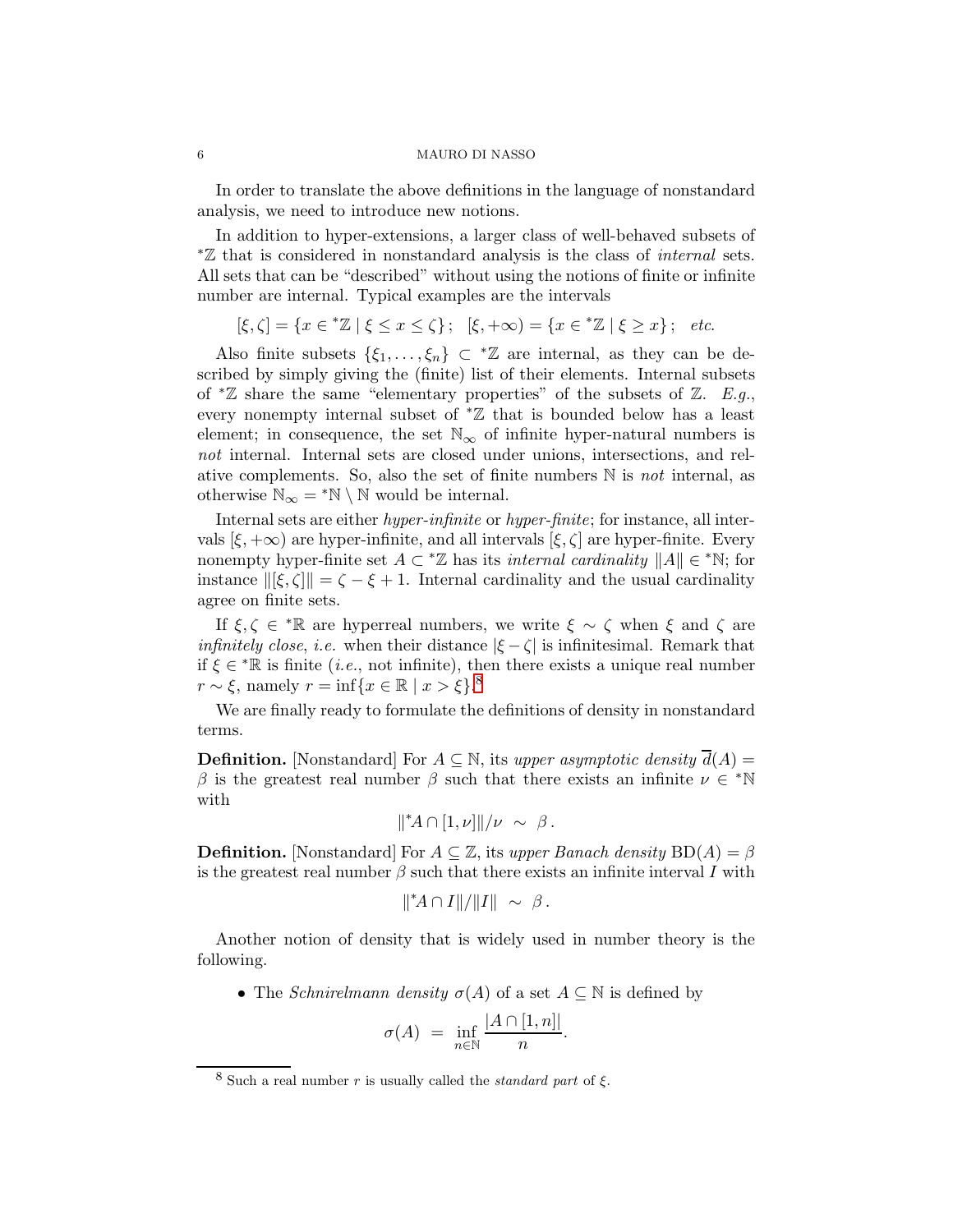In order to translate the above definitions in the language of nonstandard analysis, we need to introduce new notions.

In addition to hyper-extensions, a larger class of well-behaved subsets of <sup>∗</sup>Z that is considered in nonstandard analysis is the class of *internal* sets. All sets that can be "described" without using the notions of finite or infinite number are internal. Typical examples are the intervals

 $[\xi, \zeta] = \{x \in {}^*\mathbb{Z} \mid \xi \leq x \leq \zeta\}; \quad [\xi, +\infty) = \{x \in {}^*\mathbb{Z} \mid \xi \geq x\}; \quad etc.$ 

Also finite subsets  $\{\xi_1,\ldots,\xi_n\}\subset {}^*\mathbb{Z}$  are internal, as they can be described by simply giving the (finite) list of their elements. Internal subsets of <sup>∗</sup>Z share the same "elementary properties" of the subsets of Z. *E.g.*, every nonempty internal subset of <sup>∗</sup>Z that is bounded below has a least element; in consequence, the set  $\mathbb{N}_{\infty}$  of infinite hyper-natural numbers is *not* internal. Internal sets are closed under unions, intersections, and relative complements. So, also the set of finite numbers N is *not* internal, as otherwise  $\mathbb{N}_{\infty} = * \mathbb{N} \setminus \mathbb{N}$  would be internal.

Internal sets are either *hyper-infinite* or *hyper-finite*; for instance, all intervals  $[\xi, +\infty)$  are hyper-infinite, and all intervals  $[\xi, \zeta]$  are hyper-finite. Every nonempty hyper-finite set  $A \subset \mathbb{Z}$  has its *internal cardinality*  $||A|| \in \mathbb{R}$ ; for instance  $\|[\xi, \zeta]\| = \zeta - \xi + 1$ . Internal cardinality and the usual cardinality agree on finite sets.

If  $\xi, \zeta \in$  \*R are hyperreal numbers, we write  $\xi \sim \zeta$  when  $\xi$  and  $\zeta$  are *infinitely close, i.e.* when their distance  $|\xi - \zeta|$  is infinitesimal. Remark that if  $\xi \in {}^{\ast} \mathbb{R}$  is finite (*i.e.*, not infinite), then there exists a unique real number  $r \sim \xi$ , namely  $r = \inf\{x \in \mathbb{R} \mid x > \xi\}$ .<sup>[8](#page-5-0)</sup>

We are finally ready to formulate the definitions of density in nonstandard terms.

**Definition.** [Nonstandard] For  $A \subseteq \mathbb{N}$ , its *upper asymptotic density*  $\overline{d}(A) =$ β is the greatest real number β such that there exists an infinite  $\nu \in \mathbb{N}$ with

$$
\|^*A \cap [1,\nu]\|/\nu \sim \beta.
$$

**Definition.** [Nonstandard] For  $A \subseteq \mathbb{Z}$ , its *upper Banach density*  $BD(A) = \beta$ is the greatest real number  $\beta$  such that there exists an infinite interval I with

$$
\|{}^*A \cap I\|/\|I\| \sim \beta.
$$

Another notion of density that is widely used in number theory is the following.

• The *Schnirelmann density*  $\sigma(A)$  of a set  $A \subseteq \mathbb{N}$  is defined by

$$
\sigma(A) = \inf_{n \in \mathbb{N}} \frac{|A \cap [1, n]|}{n}.
$$

<span id="page-5-0"></span><sup>&</sup>lt;sup>8</sup> Such a real number r is usually called the *standard part* of  $\xi$ .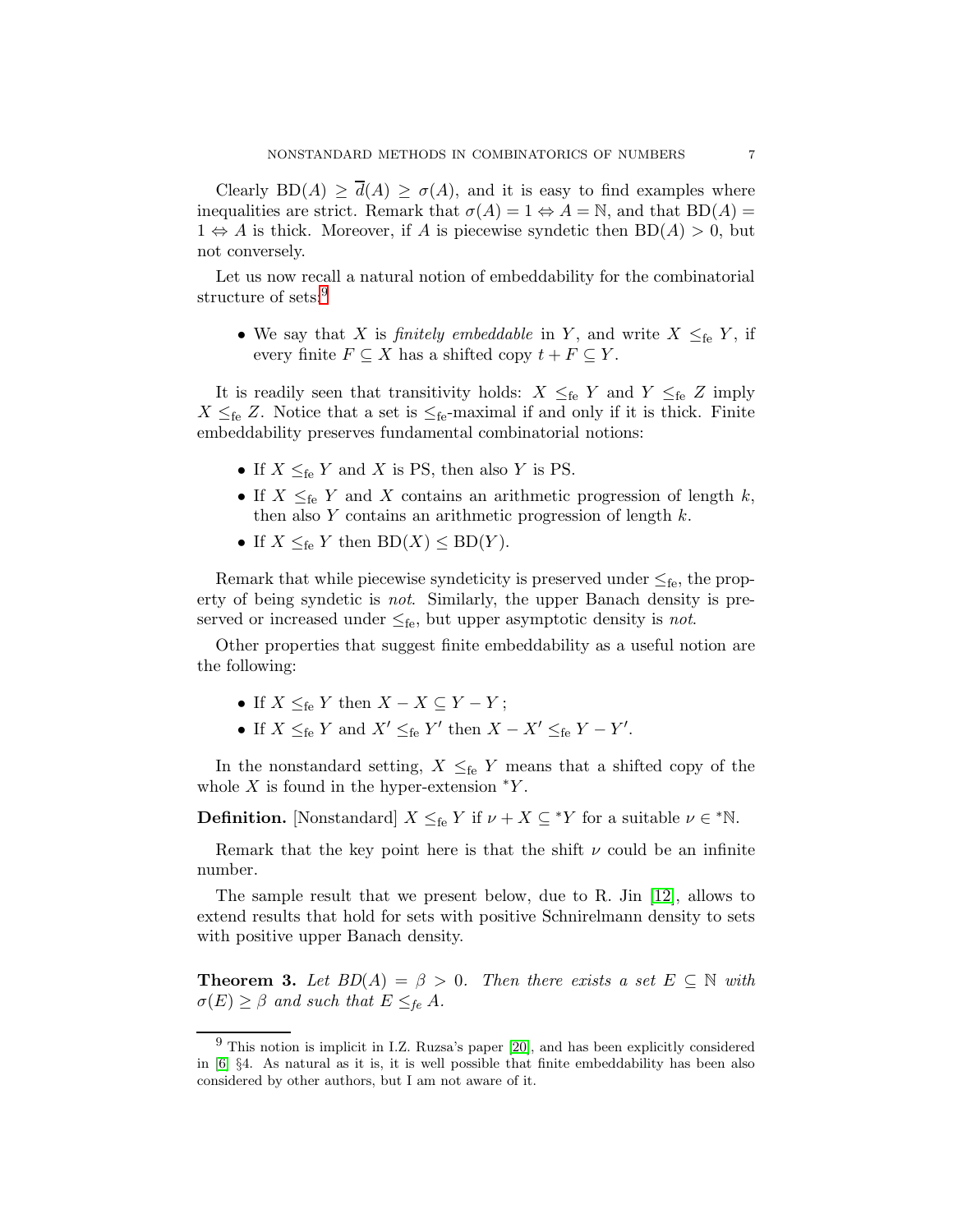Clearly  $BD(A) \geq \overline{d}(A) \geq \sigma(A)$ , and it is easy to find examples where inequalities are strict. Remark that  $\sigma(A) = 1 \Leftrightarrow A = \mathbb{N}$ , and that  $BD(A) =$  $1 \Leftrightarrow A$  is thick. Moreover, if A is piecewise syndetic then  $BD(A) > 0$ , but not conversely.

Let us now recall a natural notion of embeddability for the combinatorial structure of sets:<sup>[9](#page-6-0)</sup>

• We say that X is *finitely embeddable* in Y, and write  $X \leq_{\text{fe}} Y$ , if every finite  $F \subseteq X$  has a shifted copy  $t + F \subseteq Y$ .

It is readily seen that transitivity holds:  $X \leq_{\text{fe}} Y$  and  $Y \leq_{\text{fe}} Z$  imply  $X \leq_{\text{fe}} Z$ . Notice that a set is  $\leq_{\text{fe}}$ -maximal if and only if it is thick. Finite embeddability preserves fundamental combinatorial notions:

- If  $X \leq_{\text{fe}} Y$  and X is PS, then also Y is PS.
- If  $X \leq_{\text{fe}} Y$  and X contains an arithmetic progression of length k, then also Y contains an arithmetic progression of length  $k$ .
- If  $X \leq_{\text{fe}} Y$  then  $BD(X) \leq BD(Y)$ .

Remark that while piecewise syndeticity is preserved under  $\leq_{\text{fe}}$ , the property of being syndetic is *not*. Similarly, the upper Banach density is preserved or increased under  $\leq_{\text{fe}}$ , but upper asymptotic density is *not*.

Other properties that suggest finite embeddability as a useful notion are the following:

- If  $X \leq_{\text{fe}} Y$  then  $X X \subseteq Y Y$ ;
- If  $X \leq_{\text{fe}} Y$  and  $X' \leq_{\text{fe}} Y'$  then  $X X' \leq_{\text{fe}} Y Y'$ .

In the nonstandard setting,  $X \leq_{\text{fe}} Y$  means that a shifted copy of the whole  $X$  is found in the hyper-extension  $*Y$ .

**Definition.** [Nonstandard]  $X \leq_{\text{fe}} Y$  if  $\nu + X \subseteq {}^*Y$  for a suitable  $\nu \in {}^*N$ .

Remark that the key point here is that the shift  $\nu$  could be an infinite number.

The sample result that we present below, due to R. Jin [\[12\]](#page-16-0), allows to extend results that hold for sets with positive Schnirelmann density to sets with positive upper Banach density.

**Theorem 3.** Let  $BD(A) = \beta > 0$ . Then there exists a set  $E \subseteq \mathbb{N}$  with  $\sigma(E) \geq \beta$  *and such that*  $E \leq_{fe} A$ .

<span id="page-6-0"></span> $9$  This notion is implicit in I.Z. Ruzsa's paper [\[20\]](#page-16-10), and has been explicitly considered in [\[6\]](#page-16-5) §4. As natural as it is, it is well possible that finite embeddability has been also considered by other authors, but I am not aware of it.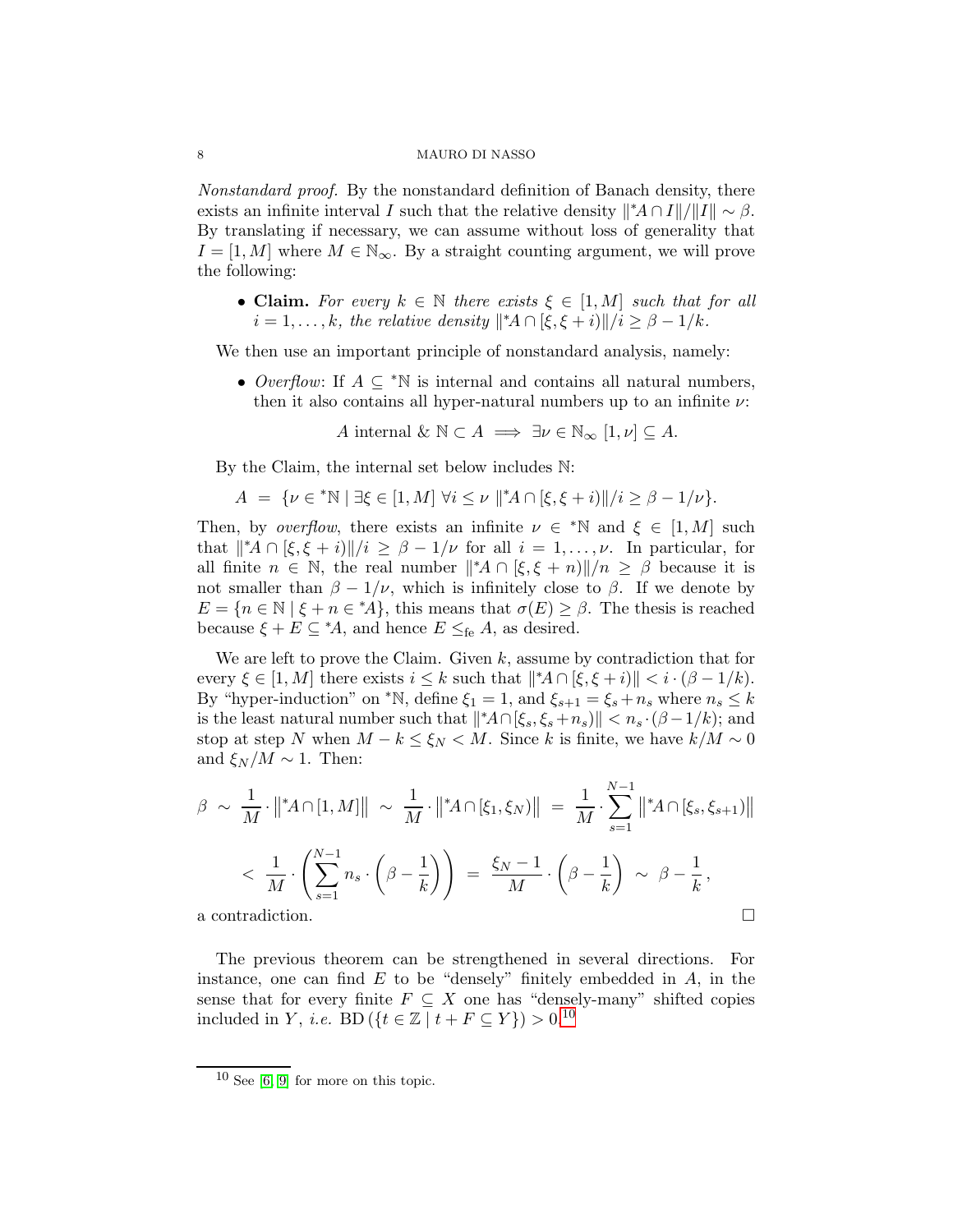*Nonstandard proof.* By the nonstandard definition of Banach density, there exists an infinite interval I such that the relative density  $||^*A \cap I||/||I|| \sim \beta$ . By translating if necessary, we can assume without loss of generality that  $I = [1, M]$  where  $M \in \mathbb{N}_{\infty}$ . By a straight counting argument, we will prove the following:

• Claim. For every  $k \in \mathbb{N}$  there exists  $\xi \in [1, M]$  such that for all  $i = 1, \ldots, k$ , the relative density  $||^*A \cap [\xi, \xi + i]||/i \geq \beta - 1/k$ .

We then use an important principle of nonstandard analysis, namely:

• *Overflow*: If  $A \subseteq \mathbb{N}$  is internal and contains all natural numbers, then it also contains all hyper-natural numbers up to an infinite  $\nu$ :

A internal  $\& \mathbb{N} \subset A \implies \exists \nu \in \mathbb{N}_{\infty}$   $[1, \nu] \subset A$ .

By the Claim, the internal set below includes N:

$$
A = \{ \nu \in {}^{*}\mathbb{N} \mid \exists \xi \in [1, M] \; \forall i \leq \nu \; \| {}^{*}A \cap [\xi, \xi + i] \| / i \geq \beta - 1/\nu \}.
$$

Then, by *overflow*, there exists an infinite  $\nu \in {}^*\mathbb{N}$  and  $\xi \in [1, M]$  such that  $||^*A \cap [\xi, \xi + i]||/i \geq \beta - 1/\nu$  for all  $i = 1, ..., \nu$ . In particular, for all finite  $n \in \mathbb{N}$ , the real number  $\Vert^* A \cap [\xi, \xi + n] \Vert /n \geq \beta$  because it is not smaller than  $\beta - 1/\nu$ , which is infinitely close to  $\beta$ . If we denote by  $E = \{n \in \mathbb{N} \mid \xi + n \in {}^*A\},\$  this means that  $\sigma(E) \geq \beta$ . The thesis is reached because  $\xi + E \subseteq {}^{\ast}A$ , and hence  $E \leq_{\text{fe}} A$ , as desired.

We are left to prove the Claim. Given  $k$ , assume by contradiction that for every  $\xi \in [1, M]$  there exists  $i \leq k$  such that  $||^*A \cap [\xi, \xi + i|| < i \cdot (\beta - 1/k)$ . By "hyper-induction" on \*N, define  $\xi_1 = 1$ , and  $\xi_{s+1} = \xi_s + n_s$  where  $n_s \leq k$ is the least natural number such that  $||^*A \cap [\xi_s, \xi_s + n_s)|| < n_s \cdot (\beta - 1/k)$ ; and stop at step N when  $M - k \leq \xi_N < M$ . Since k is finite, we have  $k/M \sim 0$ and  $\xi_N/M \sim 1$ . Then:

$$
\beta \sim \frac{1}{M} \cdot \|\mathbf{A} \cap [1, M]\| \sim \frac{1}{M} \cdot \|\mathbf{A} \cap [\xi_1, \xi_N)\| = \frac{1}{M} \cdot \sum_{s=1}^{N-1} \|\mathbf{A} \cap [\xi_s, \xi_{s+1})\|
$$
  

$$
< \frac{1}{M} \cdot \left(\sum_{s=1}^{N-1} n_s \cdot \left(\beta - \frac{1}{k}\right)\right) = \frac{\xi_N - 1}{M} \cdot \left(\beta - \frac{1}{k}\right) \sim \beta - \frac{1}{k},
$$
  
a contradiction.

The previous theorem can be strengthened in several directions. For instance, one can find  $E$  to be "densely" finitely embedded in  $A$ , in the sense that for every finite  $F \subseteq X$  one has "densely-many" shifted copies included in Y, *i.e.* BD  $({t \in \mathbb{Z} \mid t + F \subseteq Y}) > 0.10$  $({t \in \mathbb{Z} \mid t + F \subseteq Y}) > 0.10$ 

<span id="page-7-0"></span> $10$  See [\[6,](#page-16-5) [9\]](#page-16-7) for more on this topic.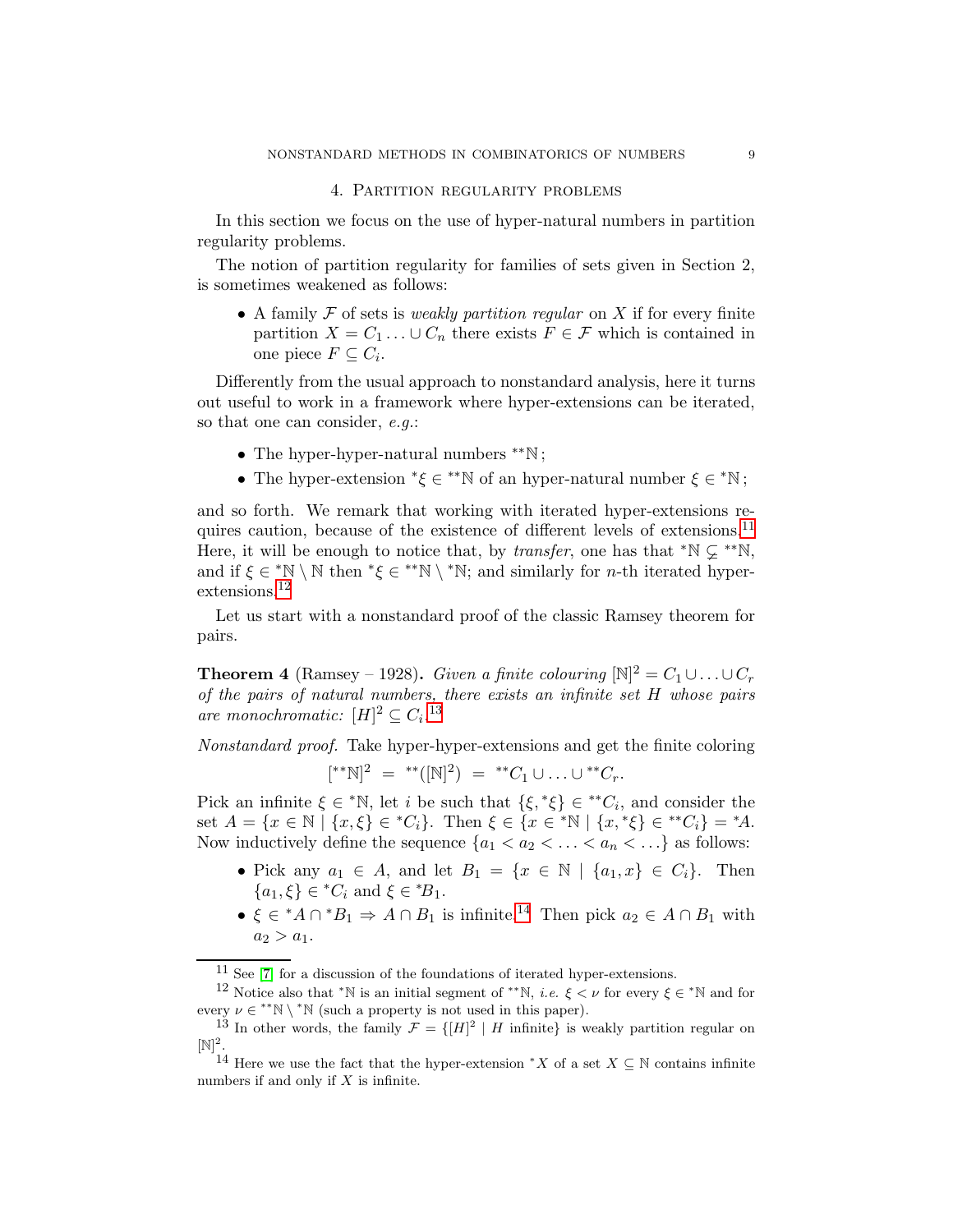# 4. Partition regularity problems

In this section we focus on the use of hyper-natural numbers in partition regularity problems.

The notion of partition regularity for families of sets given in Section 2, is sometimes weakened as follows:

• A family  $\mathcal F$  of sets is *weakly partition regular* on  $X$  if for every finite partition  $X = C_1 \dots \cup C_n$  there exists  $F \in \mathcal{F}$  which is contained in one piece  $F \subseteq C_i$ .

Differently from the usual approach to nonstandard analysis, here it turns out useful to work in a framework where hyper-extensions can be iterated, so that one can consider, *e.g.*:

- The hyper-hyper-natural numbers ∗∗N ;
- The hyper-extension  $^*\xi \in$ <sup>\*\*</sup>N of an hyper-natural number  $\xi \in$ <sup>\*</sup>N;

and so forth. We remark that working with iterated hyper-extensions re-quires caution, because of the existence of different levels of extensions.<sup>[11](#page-8-0)</sup> Here, it will be enough to notice that, by *transfer*, one has that  $*N \subsetneq *N$ , and if  $\xi \in {}^{\ast} \mathbb{N} \setminus \mathbb{N}$  then  ${}^{\ast} \xi \in {}^{\ast} \mathbb{N} \setminus {}^{\ast} \mathbb{N}$ ; and similarly for *n*-th iterated hyperextensions.[12](#page-8-1)

Let us start with a nonstandard proof of the classic Ramsey theorem for pairs.

**Theorem 4** (Ramsey – 1928). *Given a finite colouring*  $[\mathbb{N}]^2 = C_1 \cup ... \cup C_r$ *of the pairs of natural numbers, there exists an infinite set* H *whose pairs are monochromatic:*  $[H]^2 \subseteq C_i$ .<sup>[13](#page-8-2)</sup>

*Nonstandard proof.* Take hyper-hyper-extensions and get the finite coloring

$$
[{}^{**}\mathbb{N}]^2 = {}^{**}([{\mathbb{N}}]^2) = {}^{**}C_1 \cup \ldots \cup {}^{**}C_r.
$$

Pick an infinite  $\xi \in {}^*\mathbb{N}$ , let *i* be such that  $\{\xi, {}^*\xi\} \in {}^*C_i$ , and consider the set  $A = \{x \in \mathbb{N} \mid \{x, \xi\} \in {}^*C_i\}$ . Then  $\xi \in \{x \in {}^*\mathbb{N} \mid \{x, {}^*\xi\} \in {}^*C_i\} = {}^*A$ . Now inductively define the sequence  $\{a_1 < a_2 < \ldots < a_n < \ldots\}$  as follows:

- Pick any  $a_1 \in A$ , and let  $B_1 = \{x \in \mathbb{N} \mid \{a_1, x\} \in C_i\}$ . Then  ${a_1, \xi} \in {^*C_i}$  and  $\xi \in {^*B_1}$ .
- $\xi \in {}^*A \cap {}^*B_1 \Rightarrow A \cap B_1$  is infinite.<sup>[14](#page-8-3)</sup> Then pick  $a_2 \in A \cap B_1$  with  $a_2 > a_1$ .

<span id="page-8-0"></span> $^{11}$  See  $\left[ 7\right]$  for a discussion of the foundations of iterated hyper-extensions.

<span id="page-8-1"></span><sup>&</sup>lt;sup>12</sup> Notice also that <sup>\*</sup>N is an initial segment of <sup>\*\*</sup>N, *i.e.*  $\xi < \nu$  for every  $\xi \in$  <sup>\*</sup>N and for every  $\nu \in$  \*\*N \\*N (such a property is not used in this paper).

<span id="page-8-2"></span><sup>&</sup>lt;sup>13</sup> In other words, the family  $\mathcal{F} = \{ [H]^2 \mid H \text{ infinite} \}$  is weakly partition regular on  $[N]^2$ .

<span id="page-8-3"></span><sup>&</sup>lt;sup>14</sup> Here we use the fact that the hyper-extension  $^*X$  of a set  $X \subseteq \mathbb{N}$  contains infinite numbers if and only if  $X$  is infinite.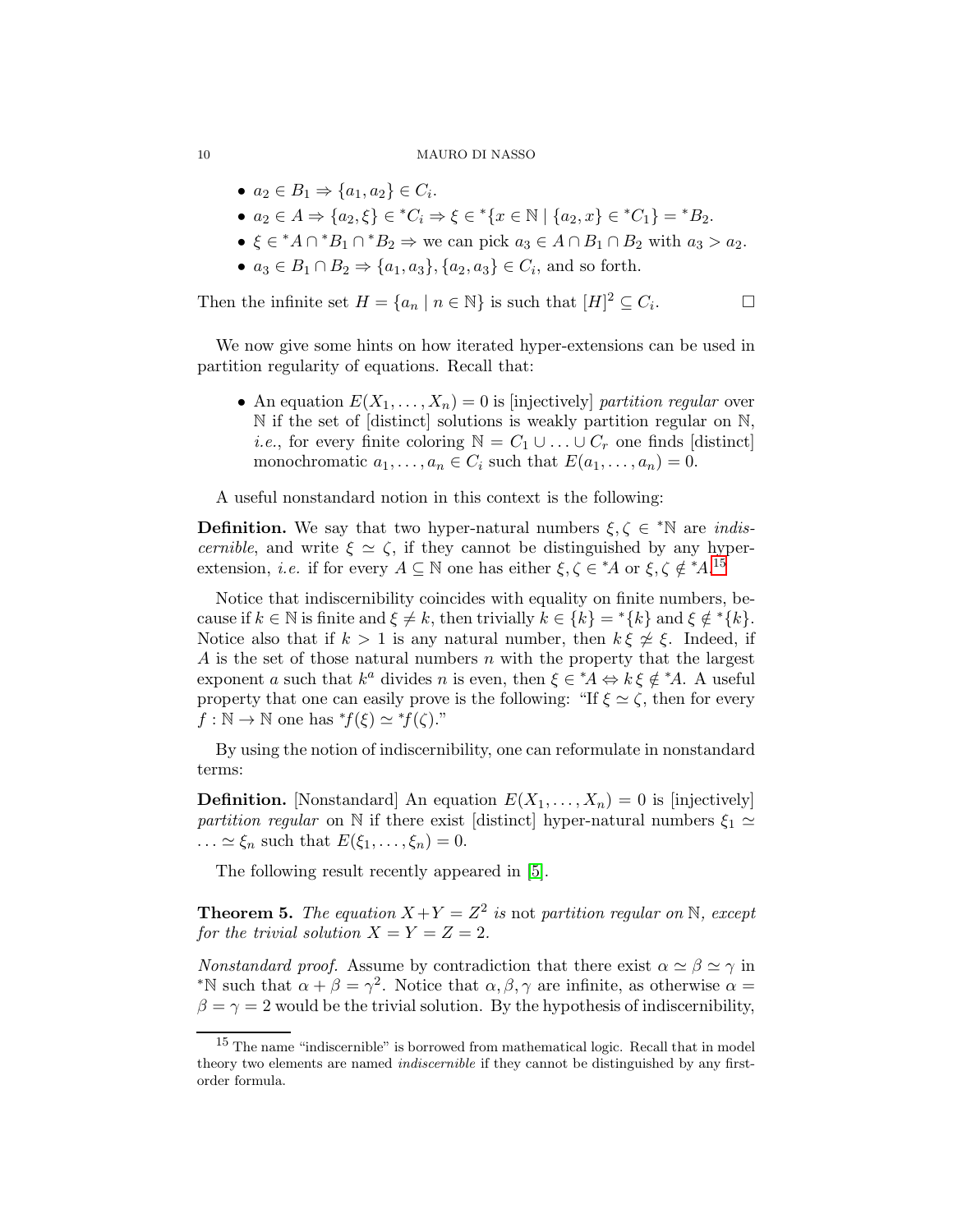- $a_2 \in B_1 \Rightarrow \{a_1, a_2\} \in C_i$ .
- $a_2 \in A \Rightarrow \{a_2, \xi\} \in {^*C_i} \Rightarrow \xi \in {^*}\{x \in \mathbb{N} \mid \{a_2, x\} \in {^*C_1}\} = {^*B_2}.$
- $\xi \in {}^*A \cap {}^*B_1 \cap {}^*B_2 \Rightarrow$  we can pick  $a_3 \in A \cap B_1 \cap B_2$  with  $a_3 > a_2$ .
- $a_3 \in B_1 \cap B_2 \Rightarrow \{a_1, a_3\}, \{a_2, a_3\} \in C_i$ , and so forth.

Then the infinite set  $H = \{a_n \mid n \in \mathbb{N}\}\$ is such that  $[H]^2 \subseteq C_i$  $\Box$ 

We now give some hints on how iterated hyper-extensions can be used in partition regularity of equations. Recall that:

• An equation  $E(X_1, \ldots, X_n) = 0$  is [injectively] *partition regular* over N if the set of [distinct] solutions is weakly partition regular on N, *i.e.*, for every finite coloring  $\mathbb{N} = C_1 \cup ... \cup C_r$  one finds [distinct] monochromatic  $a_1, \ldots, a_n \in C_i$  such that  $E(a_1, \ldots, a_n) = 0$ .

A useful nonstandard notion in this context is the following:

**Definition.** We say that two hyper-natural numbers  $\xi, \zeta \in \mathbb{N}$  are *indiscernible*, and write  $\xi \simeq \zeta$ , if they cannot be distinguished by any hyperextension, *i.e.* if for every  $A \subseteq \mathbb{N}$  one has either  $\xi, \zeta \in {}^*A$  or  $\xi, \zeta \notin {}^*A$ .<sup>[15](#page-9-0)</sup>

Notice that indiscernibility coincides with equality on finite numbers, because if  $k \in \mathbb{N}$  is finite and  $\xi \neq k$ , then trivially  $k \in \{k\} = {^*}{k}$  and  $\xi \notin {^*}{k}$ . Notice also that if  $k > 1$  is any natural number, then  $k \in \mathcal{L}$  { Indeed, if A is the set of those natural numbers  $n$  with the property that the largest exponent a such that  $k^a$  divides n is even, then  $\xi \in A \Leftrightarrow k \xi \notin A$ . A useful property that one can easily prove is the following: "If  $\xi \simeq \zeta$ , then for every  $f : \mathbb{N} \to \mathbb{N}$  one has  $^*f(\xi) \simeq ^*f(\zeta)$ ."

By using the notion of indiscernibility, one can reformulate in nonstandard terms:

**Definition.** [Nonstandard] An equation  $E(X_1, \ldots, X_n) = 0$  is [injectively] *partition regular* on N if there exist [distinct] hyper-natural numbers  $\xi_1 \simeq$  $\ldots \simeq \xi_n$  such that  $E(\xi_1,\ldots,\xi_n)=0$ .

The following result recently appeared in [\[5\]](#page-16-12).

**Theorem 5.** The equation  $X + Y = Z^2$  is not partition regular on N, except *for the trivial solution*  $X = Y = Z = 2$ *.* 

*Nonstandard proof.* Assume by contradiction that there exist  $\alpha \simeq \beta \simeq \gamma$  in \*N such that  $\alpha + \beta = \gamma^2$ . Notice that  $\alpha, \beta, \gamma$  are infinite, as otherwise  $\alpha =$  $\beta = \gamma = 2$  would be the trivial solution. By the hypothesis of indiscernibility,

<span id="page-9-0"></span><sup>&</sup>lt;sup>15</sup> The name "indiscernible" is borrowed from mathematical logic. Recall that in model theory two elements are named *indiscernible* if they cannot be distinguished by any firstorder formula.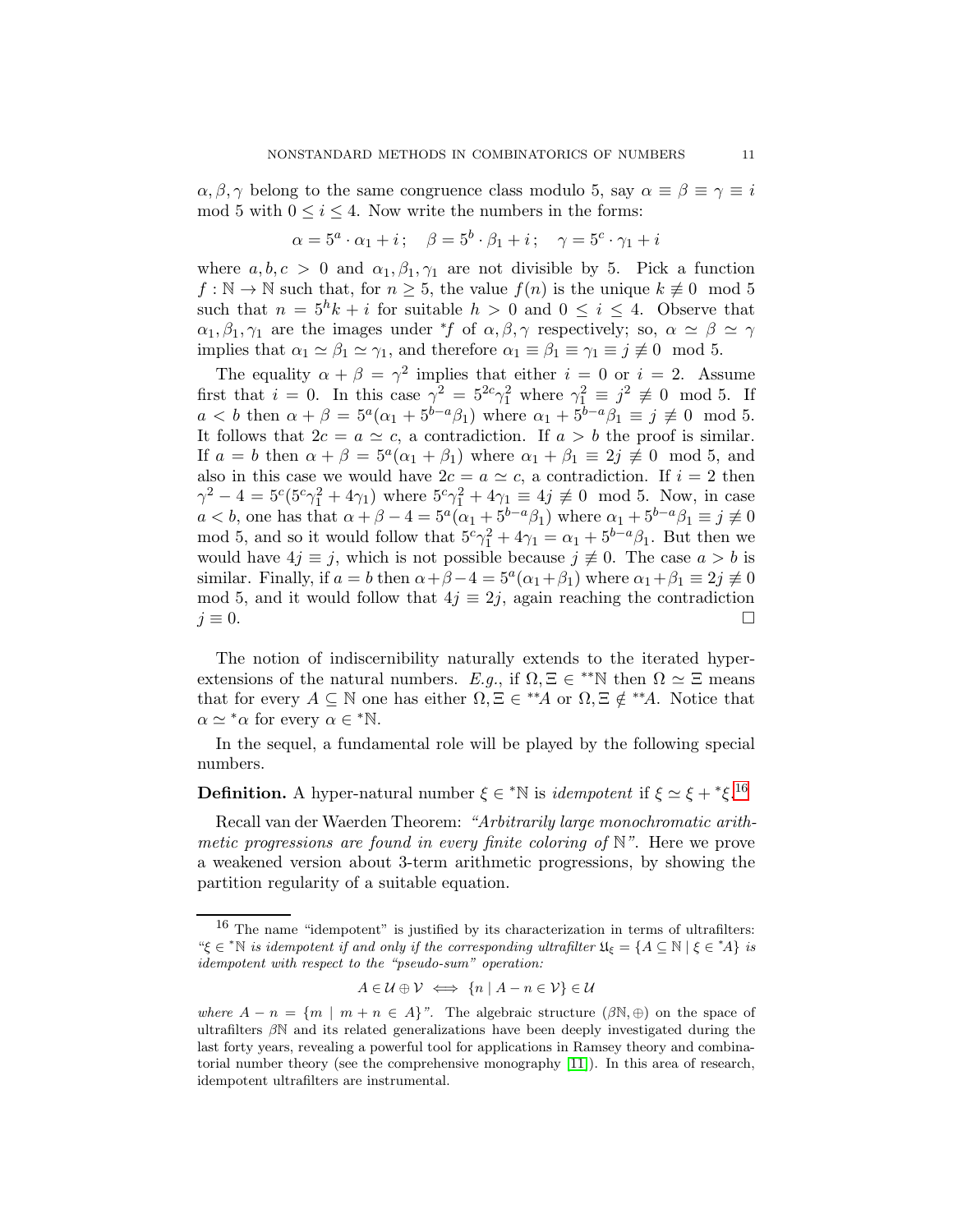$\alpha, \beta, \gamma$  belong to the same congruence class modulo 5, say  $\alpha \equiv \beta \equiv \gamma \equiv i$ mod 5 with  $0 \le i \le 4$ . Now write the numbers in the forms:

$$
\alpha = 5^a \cdot \alpha_1 + i \, ; \quad \beta = 5^b \cdot \beta_1 + i \, ; \quad \gamma = 5^c \cdot \gamma_1 + i
$$

where  $a, b, c > 0$  and  $\alpha_1, \beta_1, \gamma_1$  are not divisible by 5. Pick a function  $f : \mathbb{N} \to \mathbb{N}$  such that, for  $n \geq 5$ , the value  $f(n)$  is the unique  $k \not\equiv 0 \mod 5$ such that  $n = 5^h k + i$  for suitable  $h > 0$  and  $0 \le i \le 4$ . Observe that  $\alpha_1, \beta_1, \gamma_1$  are the images under \*f of  $\alpha, \beta, \gamma$  respectively; so,  $\alpha \simeq \beta \simeq \gamma$ implies that  $\alpha_1 \simeq \beta_1 \simeq \gamma_1$ , and therefore  $\alpha_1 \equiv \beta_1 \equiv \gamma_1 \equiv j \not\equiv 0 \mod 5$ .

The equality  $\alpha + \beta = \gamma^2$  implies that either  $i = 0$  or  $i = 2$ . Assume first that  $i = 0$ . In this case  $\gamma^2 = 5^{2c}\gamma_1^2$  where  $\gamma_1^2 \equiv j^2 \not\equiv 0 \mod 5$ . If  $a < b$  then  $\alpha + \beta = 5^a(\alpha_1 + 5^{b-a}\beta_1)$  where  $\alpha_1 + 5^{b-a}\beta_1 \equiv j \not\equiv 0 \mod 5$ . It follows that  $2c = a \simeq c$ , a contradiction. If  $a > b$  the proof is similar. If  $a = b$  then  $\alpha + \beta = 5^a(\alpha_1 + \beta_1)$  where  $\alpha_1 + \beta_1 \equiv 2j \not\equiv 0 \mod 5$ , and also in this case we would have  $2c = a \simeq c$ , a contradiction. If  $i = 2$  then  $\gamma^2 - 4 = 5^c (5^c \gamma_1^2 + 4 \gamma_1)$  where  $5^c \gamma_1^2 + 4 \gamma_1 \equiv 4j \not\equiv 0 \mod 5$ . Now, in case  $a < b$ , one has that  $\alpha + \beta - 4 = 5^a(\alpha_1 + 5^{b-a}\beta_1)$  where  $\alpha_1 + 5^{b-a}\beta_1 \equiv j \not\equiv 0$ mod 5, and so it would follow that  $5^c \gamma_1^2 + 4\gamma_1 = \alpha_1 + 5^{b-a} \beta_1$ . But then we would have  $4j \equiv j$ , which is not possible because  $j \not\equiv 0$ . The case  $a > b$  is similar. Finally, if  $a = b$  then  $\alpha + \beta - 4 = 5^a(\alpha_1 + \beta_1)$  where  $\alpha_1 + \beta_1 \equiv 2j \not\equiv 0$ mod 5, and it would follow that  $4j \equiv 2j$ , again reaching the contradiction  $j \equiv 0.$ 

The notion of indiscernibility naturally extends to the iterated hyperextensions of the natural numbers. *E.g.*, if  $\Omega, \Xi \in$  \*\*N then  $\Omega \simeq \Xi$  means that for every  $A \subseteq \mathbb{N}$  one has either  $\Omega, \Xi \in {}^{**}A$  or  $\Omega, \Xi \notin {}^{**}A$ . Notice that  $\alpha \simeq^* \alpha$  for every  $\alpha \in {}^* \mathbb{N}$ .

In the sequel, a fundamental role will be played by the following special numbers.

# **Definition.** A hyper-natural number  $\xi \in \mathbb{N}$  is *idempotent* if  $\xi \simeq \xi + \mathbb{1}^6$

Recall van der Waerden Theorem: *"Arbitrarily large monochromatic arithmetic progressions are found in every finite coloring of* N*"*. Here we prove a weakened version about 3-term arithmetic progressions, by showing the partition regularity of a suitable equation.

$$
A \in \mathcal{U} \oplus \mathcal{V} \iff \{n \mid A - n \in \mathcal{V}\} \in \mathcal{U}
$$

<span id="page-10-0"></span> $16$  The name "idempotent" is justified by its characterization in terms of ultrafilters: " $\xi \in$ <sup>\*</sup>N *is idempotent if and only if the corresponding ultrafilter*  $\mathfrak{U}_{\xi} = \{A \subseteq \mathbb{N} \mid \xi \in$ <sup>\*</sup>A} *is idempotent with respect to the "pseudo-sum" operation:*

*where*  $A - n = \{m \mid m + n \in A\}$ ". The algebraic structure  $(\beta N, \oplus)$  on the space of ultrafilters  $\beta N$  and its related generalizations have been deeply investigated during the last forty years, revealing a powerful tool for applications in Ramsey theory and combinatorial number theory (see the comprehensive monography [\[11\]](#page-16-9)). In this area of research, idempotent ultrafilters are instrumental.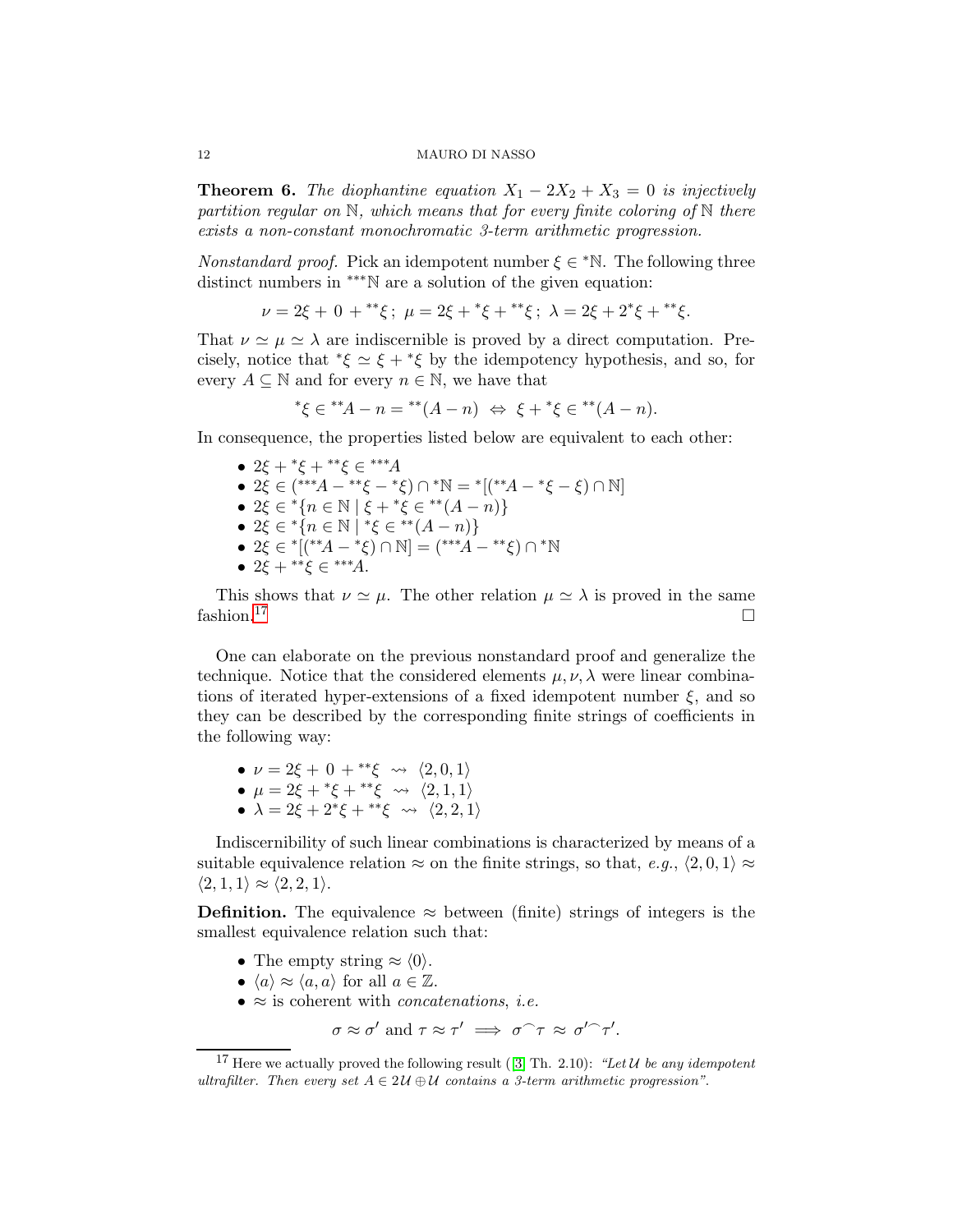**Theorem 6.** The diophantine equation  $X_1 - 2X_2 + X_3 = 0$  is injectively *partition regular on* N*, which means that for every finite coloring of* N *there exists a non-constant monochromatic 3-term arithmetic progression.*

*Nonstandard proof.* Pick an idempotent number  $\xi \in \mathbb{N}$ . The following three distinct numbers in ∗∗∗N are a solution of the given equation:

$$
\nu = 2\xi + 0 + {^{**}\xi}; \ \mu = 2\xi + {^*}\xi + {^{**}\xi}; \ \lambda = 2\xi + 2{^*}\xi + {^{**}\xi}.
$$

That  $\nu \simeq \mu \simeq \lambda$  are indiscernible is proved by a direct computation. Precisely, notice that  $*\xi \simeq \xi + *\xi$  by the idempotency hypothesis, and so, for every  $A \subseteq \mathbb{N}$  and for every  $n \in \mathbb{N}$ , we have that

$$
*\xi \in **A - n = **(A - n) \iff \xi + *\xi \in **(A - n).
$$

In consequence, the properties listed below are equivalent to each other:

•  $2\xi + \xi + \xi + \xi \in \xi^{***}A$ •  $2\xi \in (**A - **\xi - *\xi) \cap *N = *[(**A - *\xi - \xi) \cap N]$ •  $2\xi \in {^*}{n \in \mathbb{N} \mid \xi + {^*}\xi \in {^{**}}(A - n)}$ •  $2\xi \in {^*}n \in \mathbb{N} \mid {^*}\xi \in {^{**}}(A-n)$ •  $2\xi \in \tilde{\mathcal{K}}[(*A - *\xi) \cap \mathbb{N}] = (**A - **\xi) \cap * \mathbb{N}$ •  $2\xi + \ast \xi \in \ast \ast A$ .

This shows that  $\nu \simeq \mu$ . The other relation  $\mu \simeq \lambda$  is proved in the same fashion.<sup>[17](#page-11-0)</sup>

One can elaborate on the previous nonstandard proof and generalize the technique. Notice that the considered elements  $\mu, \nu, \lambda$  were linear combinations of iterated hyper-extensions of a fixed idempotent number  $\xi$ , and so they can be described by the corresponding finite strings of coefficients in the following way:

$$
\bullet \ \nu = 2\xi + 0 + {^{**}\xi} \rightsquigarrow \langle 2, 0, 1 \rangle
$$

• 
$$
\mu = 2\xi + \xi + \xi + \xi \rightsquigarrow \langle 2, 1, 1 \rangle
$$

$$
\bullet\;\;\lambda=2\xi+2^*\xi+{}^{**}\xi\;\;\leadsto\;\;\langle 2,2,1\rangle
$$

Indiscernibility of such linear combinations is characterized by means of a suitable equivalence relation  $\approx$  on the finite strings, so that, *e.g.*,  $\langle 2, 0, 1 \rangle \approx$  $\langle 2, 1, 1 \rangle \approx \langle 2, 2, 1 \rangle.$ 

**Definition.** The equivalence  $\approx$  between (finite) strings of integers is the smallest equivalence relation such that:

- The empty string  $\approx \langle 0 \rangle$ .
- $\langle a \rangle \approx \langle a, a \rangle$  for all  $a \in \mathbb{Z}$ .
- $\bullet \approx$  is coherent with *concatenations*, *i.e.*

$$
\sigma \approx \sigma' \text{ and } \tau \approx \tau' \implies \sigma^\frown \tau \approx \sigma'^\frown \tau'.
$$

<span id="page-11-0"></span><sup>17</sup> Here we actually proved the following result ([\[3\]](#page-16-13) Th. 2.10): *"Let* U *be any idempotent ultrafilter. Then every set*  $A \in 2U \oplus U$  *contains a 3-term arithmetic progression"*.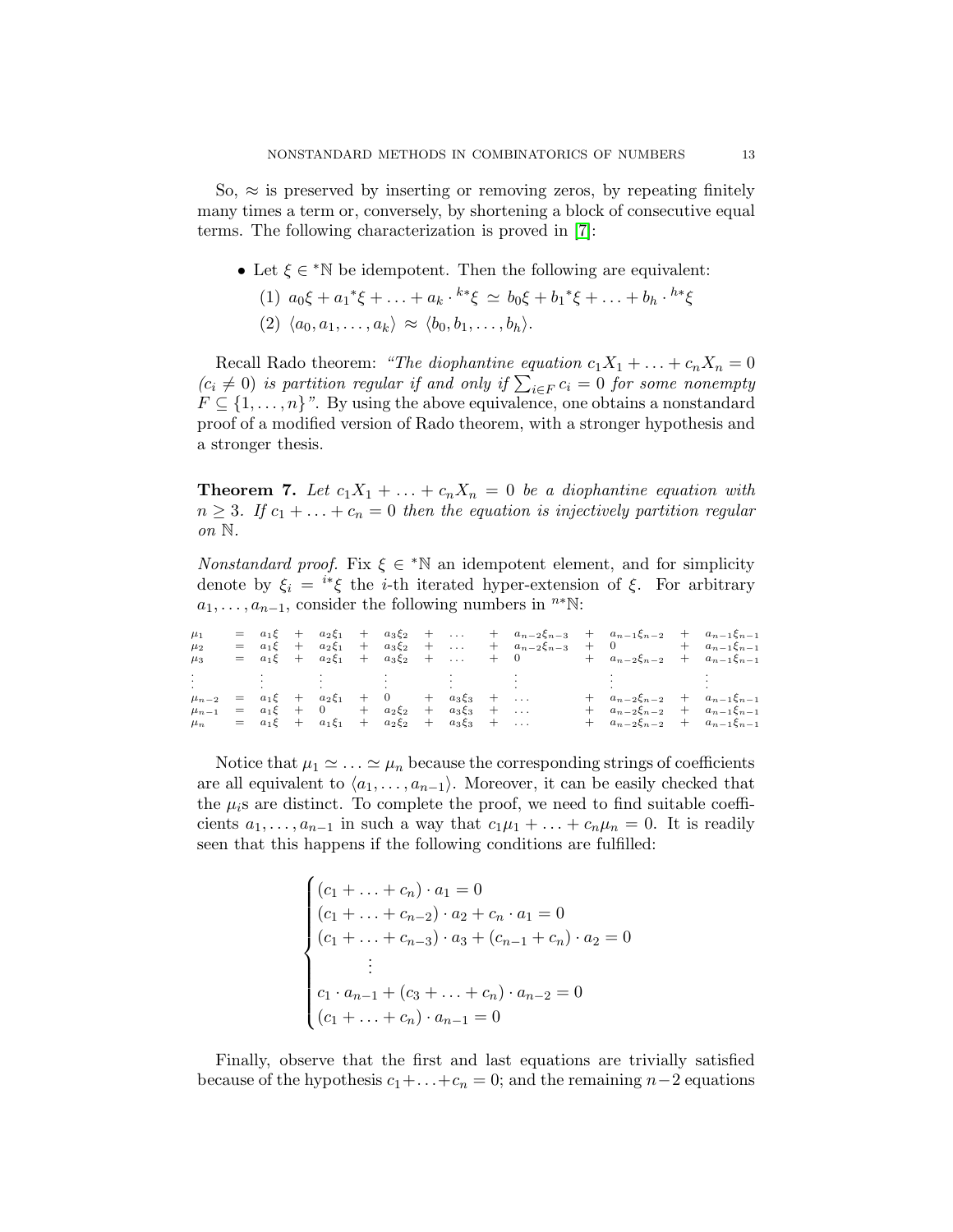So,  $\approx$  is preserved by inserting or removing zeros, by repeating finitely many times a term or, conversely, by shortening a block of consecutive equal terms. The following characterization is proved in [\[7\]](#page-16-11):

- Let  $\xi \in {}^*\mathbb{N}$  be idempotent. Then the following are equivalent:
	- (1)  $a_0\xi + a_1^*\xi + \ldots + a_k \cdot {}^{k*}\xi \simeq b_0\xi + b_1^*\xi + \ldots + b_h \cdot {}^{h*}\xi$ (2)  $\langle a_0, a_1, \ldots, a_k \rangle \approx \langle b_0, b_1, \ldots, b_h \rangle$ .

Recall Rado theorem: *"The diophantine equation*  $c_1X_1 + \ldots + c_nX_n = 0$  $(c_i \neq 0)$  *is partition regular if and only if*  $\sum_{i \in F} c_i = 0$  *for some nonempty*  $F \subseteq \{1, \ldots, n\}$ ". By using the above equivalence, one obtains a nonstandard proof of a modified version of Rado theorem, with a stronger hypothesis and a stronger thesis.

**Theorem 7.** Let  $c_1X_1 + \ldots + c_nX_n = 0$  be a diophantine equation with  $n \geq 3$ . If  $c_1 + \ldots + c_n = 0$  then the equation is injectively partition regular *on* N*.*

*Nonstandard proof.* Fix  $\xi \in {}^{\ast} \mathbb{N}$  an idempotent element, and for simplicity denote by  $\xi_i = i * \xi$  the *i*-th iterated hyper-extension of  $\xi$ . For arbitrary  $a_1, \ldots, a_{n-1}$ , consider the following numbers in <sup>n</sup>\*N:

| $\mu_1$ |  |  |  |                                                                | $a_1 = a_1\xi + a_2\xi_1 + a_3\xi_2 + \ldots + a_{n-2}\xi_{n-3} + a_{n-1}\xi_{n-2} + a_{n-1}\xi_{n-1}$ |                                                                                                 |  |
|---------|--|--|--|----------------------------------------------------------------|--------------------------------------------------------------------------------------------------------|-------------------------------------------------------------------------------------------------|--|
| $\mu_2$ |  |  |  |                                                                | $= a_1\xi + a_2\xi_1 + a_3\xi_2 + \ldots + a_{n-2}\xi_{n-3} + 0 + a_{n-1}\xi_{n-1}$                    |                                                                                                 |  |
| $\mu_3$ |  |  |  |                                                                | $a_1 \xi + a_2 \xi_1 + a_3 \xi_2 + \ldots + 0 + a_{n-2} \xi_{n-2} + a_{n-1} \xi_{n-1}$                 |                                                                                                 |  |
|         |  |  |  |                                                                |                                                                                                        | the control of the control of the control of                                                    |  |
|         |  |  |  |                                                                |                                                                                                        | the contract of the contract of the contract of the contract of the contract of the contract of |  |
|         |  |  |  | $\mu_{n-2} = a_1 \xi + a_2 \xi_1 + 0 + a_3 \xi_3 + \ldots$     |                                                                                                        | $+ a_{n-2}\xi_{n-2} + a_{n-1}\xi_{n-1}$                                                         |  |
|         |  |  |  | $\mu_{n-1} = a_1 \xi + 0 + a_2 \xi_2 + a_3 \xi_3 + \ldots$     |                                                                                                        | $+ a_{n-2}\xi_{n-2} + a_{n-1}\xi_{n-1}$                                                         |  |
|         |  |  |  | $\mu_n = a_1 \xi + a_1 \xi_1 + a_2 \xi_2 + a_3 \xi_3 + \ldots$ |                                                                                                        | $+ a_{n-2}\xi_{n-2} + a_{n-1}\xi_{n-1}$                                                         |  |

Notice that  $\mu_1 \simeq \ldots \simeq \mu_n$  because the corresponding strings of coefficients are all equivalent to  $\langle a_1, \ldots, a_{n-1} \rangle$ . Moreover, it can be easily checked that the  $\mu_i$ s are distinct. To complete the proof, we need to find suitable coefficients  $a_1, \ldots, a_{n-1}$  in such a way that  $c_1\mu_1 + \ldots + c_n\mu_n = 0$ . It is readily seen that this happens if the following conditions are fulfilled:

$$
\begin{cases}\n(c_1 + \dots + c_n) \cdot a_1 = 0 \\
(c_1 + \dots + c_{n-2}) \cdot a_2 + c_n \cdot a_1 = 0 \\
(c_1 + \dots + c_{n-3}) \cdot a_3 + (c_{n-1} + c_n) \cdot a_2 = 0 \\
\vdots \\
c_1 \cdot a_{n-1} + (c_3 + \dots + c_n) \cdot a_{n-2} = 0 \\
(c_1 + \dots + c_n) \cdot a_{n-1} = 0\n\end{cases}
$$

Finally, observe that the first and last equations are trivially satisfied because of the hypothesis  $c_1 + \ldots + c_n = 0$ ; and the remaining  $n-2$  equations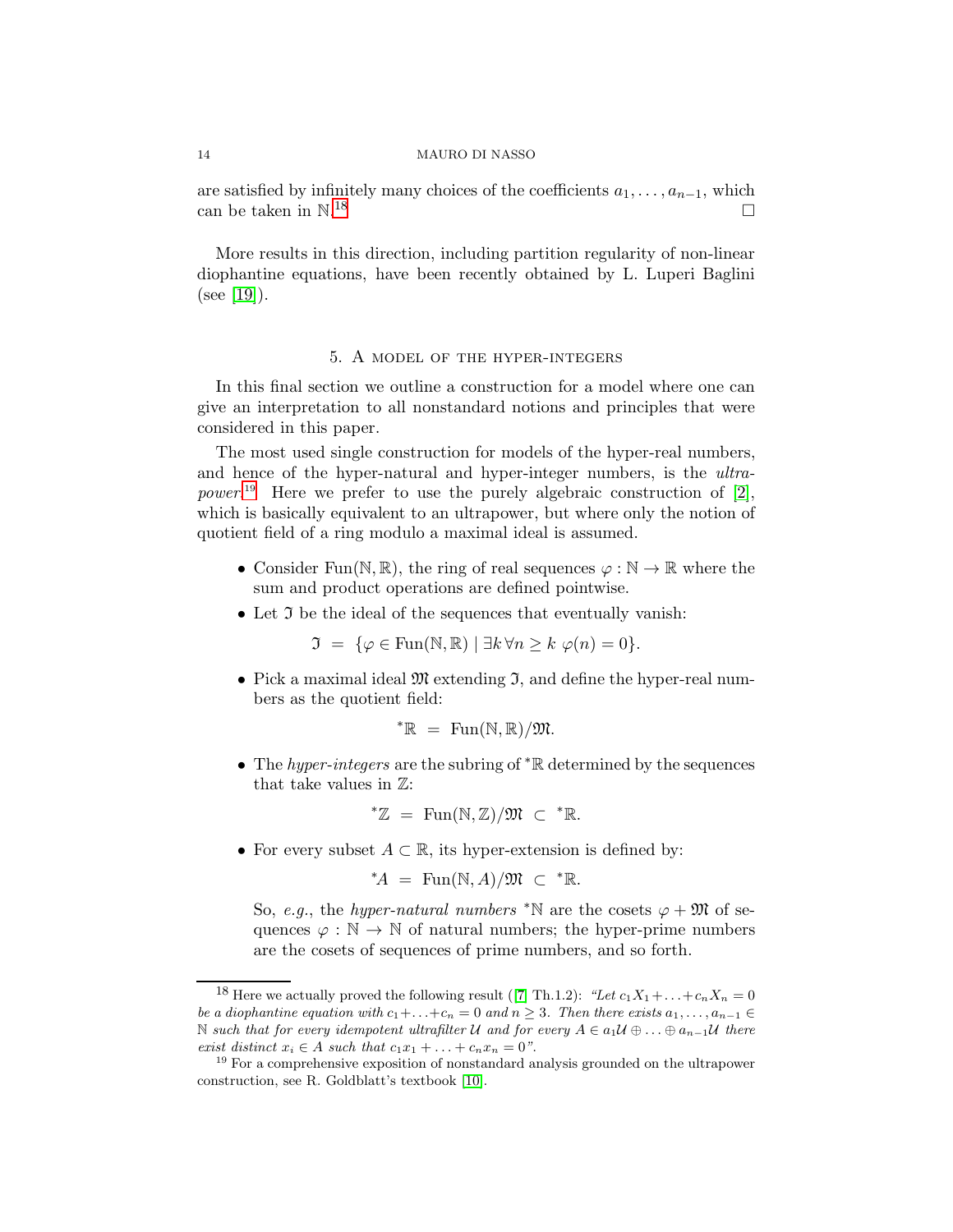are satisfied by infinitely many choices of the coefficients  $a_1, \ldots, a_{n-1}$ , which can be taken in  $\mathbb{N}^{18}$ [18](#page-13-0)

More results in this direction, including partition regularity of non-linear diophantine equations, have been recently obtained by L. Luperi Baglini  $(see [19]).$  $(see [19]).$  $(see [19]).$ 

# 5. A model of the hyper-integers

In this final section we outline a construction for a model where one can give an interpretation to all nonstandard notions and principles that were considered in this paper.

The most used single construction for models of the hyper-real numbers, and hence of the hyper-natural and hyper-integer numbers, is the *ultra-*power.<sup>[19](#page-13-1)</sup> Here we prefer to use the purely algebraic construction of [\[2\]](#page-16-14), which is basically equivalent to an ultrapower, but where only the notion of quotient field of a ring modulo a maximal ideal is assumed.

- Consider Fun( $\mathbb{N}, \mathbb{R}$ ), the ring of real sequences  $\varphi : \mathbb{N} \to \mathbb{R}$  where the sum and product operations are defined pointwise.
- Let  $\mathfrak I$  be the ideal of the sequences that eventually vanish:

 $\mathfrak{I} = \{ \varphi \in \text{Fun}(\mathbb{N}, \mathbb{R}) \mid \exists k \, \forall n \geq k \, \varphi(n) = 0 \}.$ 

• Pick a maximal ideal  $\mathfrak M$  extending  $\mathfrak I$ , and define the hyper-real numbers as the quotient field:

$$
^{\ast }\mathbb{R}~=~\mathrm{Fun}(\mathbb{N},\mathbb{R})/\mathfrak{M}.
$$

• The *hyper-integers* are the subring of <sup>∗</sup>R determined by the sequences that take values in  $\mathbb{Z}$ :

$$
^*\mathbb{Z} = \text{Fun}(\mathbb{N}, \mathbb{Z})/\mathfrak{M} \subset {}^*\mathbb{R}.
$$

• For every subset  $A \subset \mathbb{R}$ , its hyper-extension is defined by:

$$
^*A = \operatorname{Fun}(\mathbb{N}, A)/\mathfrak{M} \subset {}^*\mathbb{R}.
$$

So, *e.g.*, the *hyper-natural numbers*  $*\mathbb{N}$  are the cosets  $\varphi + \mathfrak{M}$  of sequences  $\varphi : \mathbb{N} \to \mathbb{N}$  of natural numbers; the hyper-prime numbers are the cosets of sequences of prime numbers, and so forth.

<span id="page-13-0"></span><sup>&</sup>lt;sup>18</sup> Here we actually proved the following result ([\[7\]](#page-16-11) Th.1.2): *"Let*  $c_1X_1 + ... + c_nX_n = 0$ *be a diophantine equation with*  $c_1 + \ldots + c_n = 0$  *and*  $n \geq 3$ *. Then there exists*  $a_1, \ldots, a_{n-1} \in$ N *such that for every idempotent ultrafilter* U *and for every*  $A \in a_1 \mathcal{U} \oplus \ldots \oplus a_{n-1} \mathcal{U}$  there *exist distinct*  $x_i \in A$  *such that*  $c_1x_1 + \ldots + c_nx_n = 0$ ".

<span id="page-13-1"></span><sup>&</sup>lt;sup>19</sup> For a comprehensive exposition of nonstandard analysis grounded on the ultrapower construction, see R. Goldblatt's textbook [\[10\]](#page-16-15).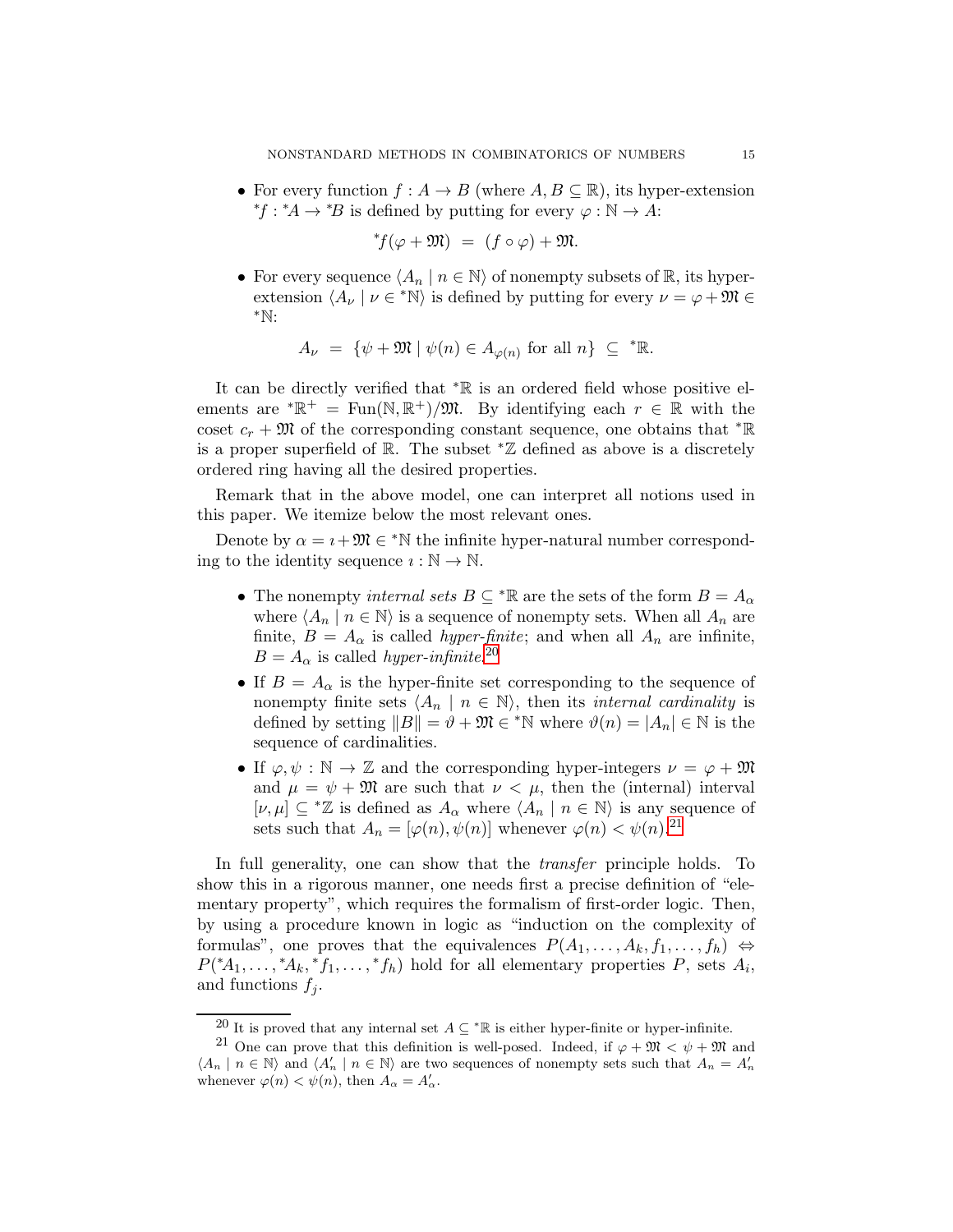• For every function  $f : A \to B$  (where  $A, B \subseteq \mathbb{R}$ ), its hyper-extension  ${}^*f$  :  ${}^*A$  →  ${}^*B$  is defined by putting for every  $\varphi : \mathbb{N} \to A$ :

$$
{}^*f(\varphi+\mathfrak{M}) = (f \circ \varphi) + \mathfrak{M}.
$$

• For every sequence  $\langle A_n | n \in \mathbb{N} \rangle$  of nonempty subsets of R, its hyperextension  $\langle A_{\nu} | \nu \in {}^* \mathbb{N} \rangle$  is defined by putting for every  $\nu = \varphi + \mathfrak{M} \in$ <sup>∗</sup>N:

$$
A_{\nu} = \{ \psi + \mathfrak{M} \mid \psi(n) \in A_{\varphi(n)} \text{ for all } n \} \subseteq {}^{*} \mathbb{R}.
$$

It can be directly verified that <sup>∗</sup>R is an ordered field whose positive elements are  ${}^* \mathbb{R}^+ = \text{Fun}(\mathbb{N}, \mathbb{R}^+)/\mathfrak{M}$ . By identifying each  $r \in \mathbb{R}$  with the coset  $c_r + \mathfrak{M}$  of the corresponding constant sequence, one obtains that  ${}^* \mathbb{R}$ is a proper superfield of  $\mathbb{R}$ . The subset  $^*\mathbb{Z}$  defined as above is a discretely ordered ring having all the desired properties.

Remark that in the above model, one can interpret all notions used in this paper. We itemize below the most relevant ones.

Denote by  $\alpha = i + \mathfrak{M} \in {}^*\mathbb{N}$  the infinite hyper-natural number corresponding to the identity sequence  $i : \mathbb{N} \to \mathbb{N}$ .

- The nonempty *internal sets*  $B \subseteq {}^* \mathbb{R}$  are the sets of the form  $B = A_{\alpha}$ where  $\langle A_n | n \in \mathbb{N} \rangle$  is a sequence of nonempty sets. When all  $A_n$  are finite,  $B = A_{\alpha}$  is called *hyper-finite*; and when all  $A_n$  are infinite,  $B = A_{\alpha}$  is called *hyper-infinite*.<sup>[20](#page-14-0)</sup>
- If  $B = A_{\alpha}$  is the hyper-finite set corresponding to the sequence of nonempty finite sets  $\langle A_n | n \in \mathbb{N} \rangle$ , then its *internal cardinality* is defined by setting  $||B|| = \vartheta + \mathfrak{M} \in \mathbb{N}$  where  $\vartheta(n) = |A_n| \in \mathbb{N}$  is the sequence of cardinalities.
- If  $\varphi, \psi : \mathbb{N} \to \mathbb{Z}$  and the corresponding hyper-integers  $\nu = \varphi + \mathfrak{M}$ and  $\mu = \psi + \mathfrak{M}$  are such that  $\nu < \mu$ , then the (internal) interval  $[\nu, \mu] \subseteq {}^*\mathbb{Z}$  is defined as  $A_\alpha$  where  $\langle A_n | n \in \mathbb{N} \rangle$  is any sequence of sets such that  $A_n = [\varphi(n), \psi(n)]$  whenever  $\varphi(n) < \psi(n)$ .<sup>[21](#page-14-1)</sup>

In full generality, one can show that the *transfer* principle holds. To show this in a rigorous manner, one needs first a precise definition of "elementary property", which requires the formalism of first-order logic. Then, by using a procedure known in logic as "induction on the complexity of formulas", one proves that the equivalences  $P(A_1, \ldots, A_k, f_1, \ldots, f_h) \Leftrightarrow$  $P(*A_1, \ldots, *A_k, *f_1, \ldots, *f_h)$  hold for all elementary properties P, sets  $A_i$ , and functions  $f_i$ .

<span id="page-14-0"></span><sup>&</sup>lt;sup>20</sup> It is proved that any internal set  $A \subseteq {}^* \mathbb{R}$  is either hyper-finite or hyper-infinite.

<span id="page-14-1"></span><sup>&</sup>lt;sup>21</sup> One can prove that this definition is well-posed. Indeed, if  $\varphi + \mathfrak{M} \le \psi + \mathfrak{M}$  and  $\langle A_n | n \in \mathbb{N} \rangle$  and  $\langle A'_n | n \in \mathbb{N} \rangle$  are two sequences of nonempty sets such that  $A_n = A'_n$ whenever  $\varphi(n) < \psi(n)$ , then  $A_{\alpha} = A'_{\alpha}$ .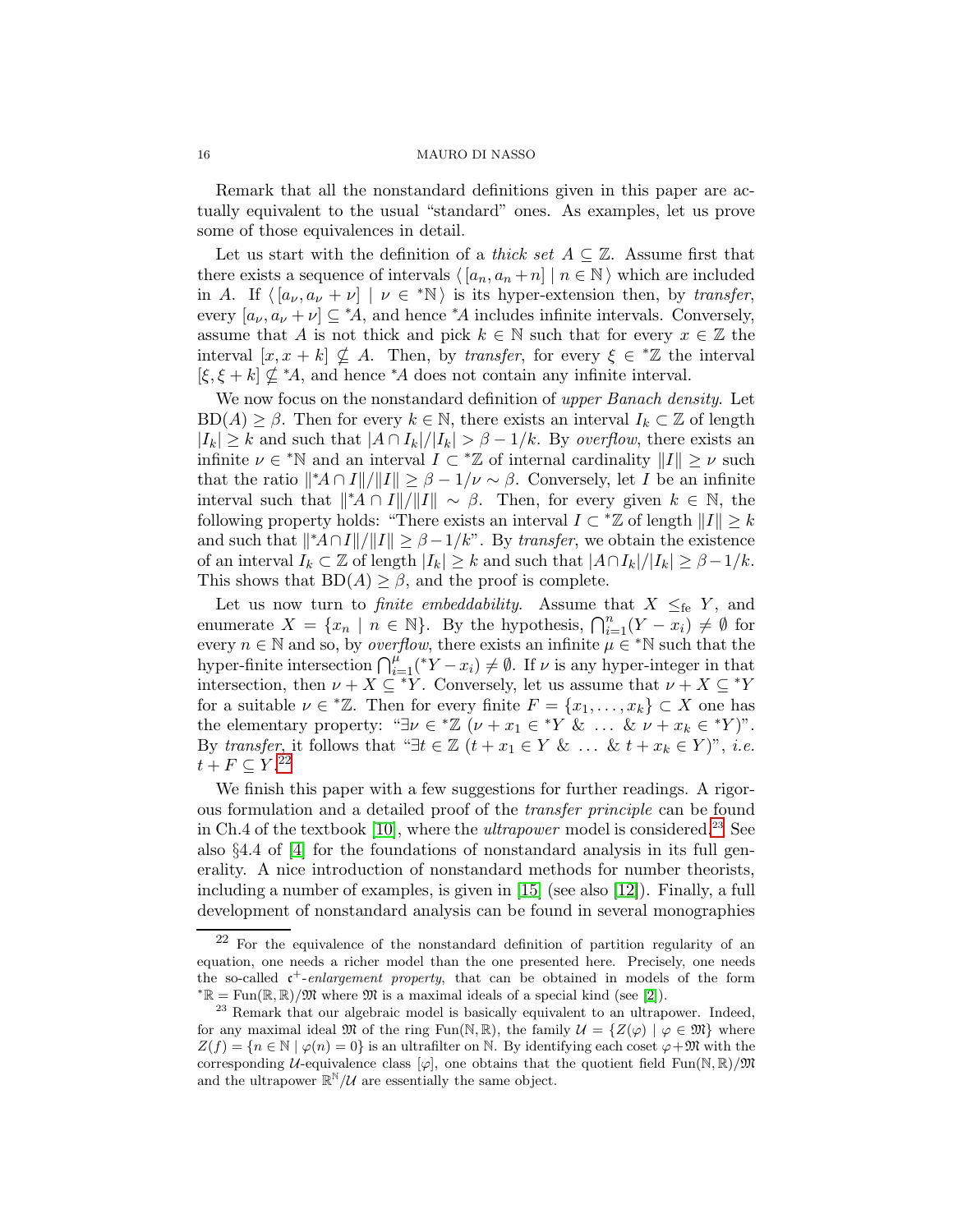Remark that all the nonstandard definitions given in this paper are actually equivalent to the usual "standard" ones. As examples, let us prove some of those equivalences in detail.

Let us start with the definition of a *thick set*  $A \subseteq \mathbb{Z}$ . Assume first that there exists a sequence of intervals  $\langle [a_n, a_n + n] | n \in \mathbb{N} \rangle$  which are included in A. If  $\langle [a_{\nu}, a_{\nu} + \nu] | \nu \in {}^* \mathbb{N} \rangle$  is its hyper-extension then, by *transfer*, every  $[a_{\nu}, a_{\nu} + \nu] \subseteq {}^*A$ , and hence  ${}^*A$  includes infinite intervals. Conversely, assume that A is not thick and pick  $k \in \mathbb{N}$  such that for every  $x \in \mathbb{Z}$  the interval  $[x, x + k] \nsubseteq A$ . Then, by *transfer*, for every  $\xi \in {^{\ast}\mathbb{Z}}$  the interval  $[\xi, \xi + k] \nsubseteq A$ , and hence \*A does not contain any infinite interval.

We now focus on the nonstandard definition of *upper Banach density*. Let  $BD(A) \geq \beta$ . Then for every  $k \in \mathbb{N}$ , there exists an interval  $I_k \subset \mathbb{Z}$  of length  $|I_k| \geq k$  and such that  $|A \cap I_k|/|I_k| > \beta - 1/k$ . By *overflow*, there exists an infinite  $\nu \in {}^{*}\mathbb{N}$  and an interval  $I \subset {}^{*}\mathbb{Z}$  of internal cardinality  $||I|| \geq \nu$  such that the ratio  $\Vert^* A \cap I \Vert / \Vert I \Vert \geq \beta - 1/\nu \sim \beta$ . Conversely, let I be an infinite interval such that  $\|\n^*A \cap I\| / \|I\| \sim \beta$ . Then, for every given  $k \in \mathbb{N}$ , the following property holds: "There exists an interval  $I \subset \mathbb{Z}$  of length  $||I|| \geq k$ and such that  $\|A \cap I\|/\|I\| \geq \beta - 1/k$ ". By *transfer*, we obtain the existence of an interval  $I_k \subset \mathbb{Z}$  of length  $|I_k| \geq k$  and such that  $|A \cap I_k|/|I_k| \geq \beta - 1/k$ . This shows that  $BD(A) \geq \beta$ , and the proof is complete.

Let us now turn to *finite embeddability*. Assume that  $X \leq_{\text{fe}} Y$ , and enumerate  $X = \{x_n \mid n \in \mathbb{N}\}\$ . By the hypothesis,  $\bigcap_{i=1}^n (Y - x_i) \neq \emptyset$  for every  $n \in \mathbb{N}$  and so, by *overflow*, there exists an infinite  $\mu \in \mathbb{N}$  such that the hyper-finite intersection  $\bigcap_{i=1}^{\mu}$  (\* $Y - x_i$ )  $\neq \emptyset$ . If  $\nu$  is any hyper-integer in that intersection, then  $\nu + X \subseteq Y$ . Conversely, let us assume that  $\nu + X \subseteq Y$ for a suitable  $\nu \in {}^*\mathbb{Z}$ . Then for every finite  $F = \{x_1, \ldots, x_k\} \subset X$  one has the elementary property: " $\exists \nu \in {^*}\mathbb{Z} \ (\nu + x_1 \in {^*}Y \ \& \ \dots \ \& \ \nu + x_k \in {^*}Y$ ". By *transfer*, it follows that " $\exists t \in \mathbb{Z}$   $(t + x_1 \in Y \& \dots \& t + x_k \in Y)$ ", *i.e.*  $t + F \subseteq Y^{22}$  $t + F \subseteq Y^{22}$  $t + F \subseteq Y^{22}$ 

We finish this paper with a few suggestions for further readings. A rigorous formulation and a detailed proof of the *transfer principle* can be found in Ch.4 of the textbook [\[10\]](#page-16-15), where the *ultrapower* model is considered.<sup>[23](#page-15-1)</sup> See also §4.4 of [\[4\]](#page-16-16) for the foundations of nonstandard analysis in its full generality. A nice introduction of nonstandard methods for number theorists, including a number of examples, is given in [\[15\]](#page-16-17) (see also [\[12\]](#page-16-0)). Finally, a full development of nonstandard analysis can be found in several monographies

<span id="page-15-0"></span> $22$  For the equivalence of the nonstandard definition of partition regularity of an equation, one needs a richer model than the one presented here. Precisely, one needs the so-called c <sup>+</sup>-*enlargement property*, that can be obtained in models of the form  $* \mathbb{R} = \text{Fun}(\mathbb{R}, \mathbb{R})/\mathfrak{M}$  where  $\mathfrak{M}$  is a maximal ideals of a special kind (see [\[2\]](#page-16-14)).

<span id="page-15-1"></span> $23$  Remark that our algebraic model is basically equivalent to an ultrapower. Indeed, for any maximal ideal  $\mathfrak{M}$  of the ring Fun(N, R), the family  $\mathcal{U} = \{Z(\varphi) \mid \varphi \in \mathfrak{M}\}\$  where  $Z(f) = \{n \in \mathbb{N} \mid \varphi(n) = 0\}$  is an ultrafilter on N. By identifying each coset  $\varphi + \mathfrak{M}$  with the corresponding U-equivalence class  $[\varphi]$ , one obtains that the quotient field Fun(N, R)/M and the ultrapower  $\mathbb{R}^{\mathbb{N}}/\mathcal{U}$  are essentially the same object.